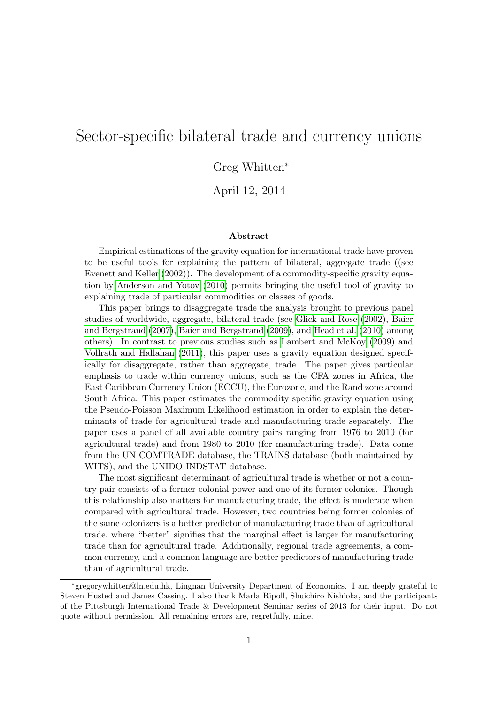## Sector-specific bilateral trade and currency unions

Greg Whitten<sup>∗</sup>

April 12, 2014

#### Abstract

Empirical estimations of the gravity equation for international trade have proven to be useful tools for explaining the pattern of bilateral, aggregate trade ((see [Evenett and Keller](#page-60-0) [\(2002\)](#page-60-0)). The development of a commodity-specific gravity equation by [Anderson and Yotov](#page-60-1) [\(2010\)](#page-60-1) permits bringing the useful tool of gravity to explaining trade of particular commodities or classes of goods.

This paper brings to disaggregate trade the analysis brought to previous panel studies of worldwide, aggregate, bilateral trade (see [Glick and Rose](#page-60-2) [\(2002\)](#page-60-2), [Baier](#page-60-3) [and Bergstrand](#page-60-3) [\(2007\)](#page-60-3), [Baier and Bergstrand](#page-60-4) [\(2009\)](#page-60-4), and [Head et al.](#page-60-5) [\(2010\)](#page-60-5) among others). In contrast to previous studies such as [Lambert and McKoy](#page-61-0) [\(2009\)](#page-61-0) and [Vollrath and Hallahan](#page-61-1) [\(2011\)](#page-61-1), this paper uses a gravity equation designed specifically for disaggregate, rather than aggregate, trade. The paper gives particular emphasis to trade within currency unions, such as the CFA zones in Africa, the East Caribbean Currency Union (ECCU), the Eurozone, and the Rand zone around South Africa. This paper estimates the commodity specific gravity equation using the Pseudo-Poisson Maximum Likelihood estimation in order to explain the determinants of trade for agricultural trade and manufacturing trade separately. The paper uses a panel of all available country pairs ranging from 1976 to 2010 (for agricultural trade) and from 1980 to 2010 (for manufacturing trade). Data come from the UN COMTRADE database, the TRAINS database (both maintained by WITS), and the UNIDO INDSTAT database.

The most significant determinant of agricultural trade is whether or not a country pair consists of a former colonial power and one of its former colonies. Though this relationship also matters for manufacturing trade, the effect is moderate when compared with agricultural trade. However, two countries being former colonies of the same colonizers is a better predictor of manufacturing trade than of agricultural trade, where "better" signifies that the marginal effect is larger for manufacturing trade than for agricultural trade. Additionally, regional trade agreements, a common currency, and a common language are better predictors of manufacturing trade than of agricultural trade.

<sup>∗</sup>gregorywhitten@ln.edu.hk, Lingnan University Department of Economics. I am deeply grateful to Steven Husted and James Cassing. I also thank Marla Ripoll, Shuichiro Nishioka, and the participants of the Pittsburgh International Trade & Development Seminar series of 2013 for their input. Do not quote without permission. All remaining errors are, regretfully, mine.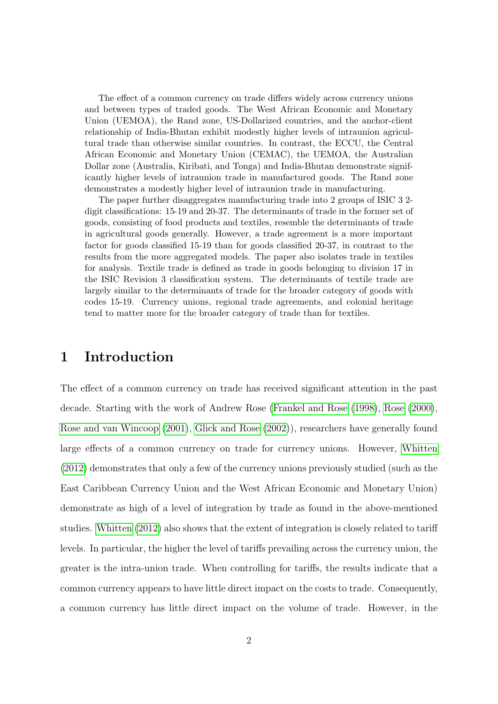The effect of a common currency on trade differs widely across currency unions and between types of traded goods. The West African Economic and Monetary Union (UEMOA), the Rand zone, US-Dollarized countries, and the anchor-client relationship of India-Bhutan exhibit modestly higher levels of intraunion agricultural trade than otherwise similar countries. In contrast, the ECCU, the Central African Economic and Monetary Union (CEMAC), the UEMOA, the Australian Dollar zone (Australia, Kiribati, and Tonga) and India-Bhutan demonstrate significantly higher levels of intraunion trade in manufactured goods. The Rand zone demonstrates a modestly higher level of intraunion trade in manufacturing.

The paper further disaggregates manufacturing trade into 2 groups of ISIC 3 2 digit classifications: 15-19 and 20-37. The determinants of trade in the former set of goods, consisting of food products and textiles, resemble the determinants of trade in agricultural goods generally. However, a trade agreement is a more important factor for goods classified 15-19 than for goods classified 20-37, in contrast to the results from the more aggregated models. The paper also isolates trade in textiles for analysis. Textile trade is defined as trade in goods belonging to division 17 in the ISIC Revision 3 classification system. The determinants of textile trade are largely similar to the determinants of trade for the broader category of goods with codes 15-19. Currency unions, regional trade agreements, and colonial heritage tend to matter more for the broader category of trade than for textiles.

### 1 Introduction

The effect of a common currency on trade has received significant attention in the past decade. Starting with the work of Andrew Rose [\(Frankel and Rose](#page-60-6) [\(1998\)](#page-60-6), [Rose](#page-61-2) [\(2000\)](#page-61-2), [Rose and van Wincoop](#page-61-3) [\(2001\)](#page-61-3), [Glick and Rose](#page-60-2) [\(2002\)](#page-60-2)), researchers have generally found large effects of a common currency on trade for currency unions. However, [Whitten](#page-61-4) [\(2012\)](#page-61-4) demonstrates that only a few of the currency unions previously studied (such as the East Caribbean Currency Union and the West African Economic and Monetary Union) demonstrate as high of a level of integration by trade as found in the above-mentioned studies. [Whitten](#page-61-4) [\(2012\)](#page-61-4) also shows that the extent of integration is closely related to tariff levels. In particular, the higher the level of tariffs prevailing across the currency union, the greater is the intra-union trade. When controlling for tariffs, the results indicate that a common currency appears to have little direct impact on the costs to trade. Consequently, a common currency has little direct impact on the volume of trade. However, in the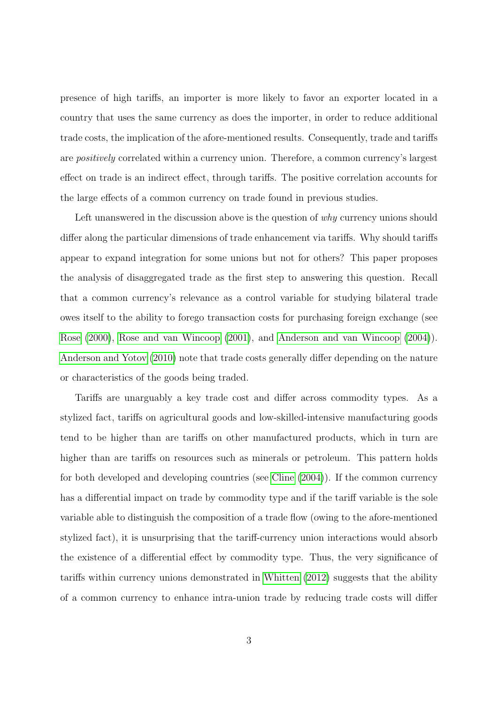presence of high tariffs, an importer is more likely to favor an exporter located in a country that uses the same currency as does the importer, in order to reduce additional trade costs, the implication of the afore-mentioned results. Consequently, trade and tariffs are positively correlated within a currency union. Therefore, a common currency's largest effect on trade is an indirect effect, through tariffs. The positive correlation accounts for the large effects of a common currency on trade found in previous studies.

Left unanswered in the discussion above is the question of why currency unions should differ along the particular dimensions of trade enhancement via tariffs. Why should tariffs appear to expand integration for some unions but not for others? This paper proposes the analysis of disaggregated trade as the first step to answering this question. Recall that a common currency's relevance as a control variable for studying bilateral trade owes itself to the ability to forego transaction costs for purchasing foreign exchange (see [Rose](#page-61-2) [\(2000\)](#page-61-2), [Rose and van Wincoop](#page-61-3) [\(2001\)](#page-61-3), and [Anderson and van Wincoop](#page-60-7) [\(2004\)](#page-60-7)). [Anderson and Yotov](#page-60-1) [\(2010\)](#page-60-1) note that trade costs generally differ depending on the nature or characteristics of the goods being traded.

Tariffs are unarguably a key trade cost and differ across commodity types. As a stylized fact, tariffs on agricultural goods and low-skilled-intensive manufacturing goods tend to be higher than are tariffs on other manufactured products, which in turn are higher than are tariffs on resources such as minerals or petroleum. This pattern holds for both developed and developing countries (see [Cline](#page-60-8) [\(2004\)](#page-60-8)). If the common currency has a differential impact on trade by commodity type and if the tariff variable is the sole variable able to distinguish the composition of a trade flow (owing to the afore-mentioned stylized fact), it is unsurprising that the tariff-currency union interactions would absorb the existence of a differential effect by commodity type. Thus, the very significance of tariffs within currency unions demonstrated in [Whitten](#page-61-4) [\(2012\)](#page-61-4) suggests that the ability of a common currency to enhance intra-union trade by reducing trade costs will differ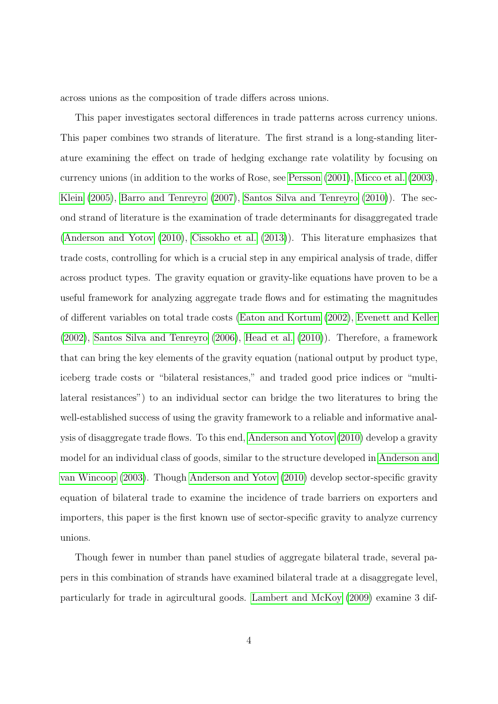across unions as the composition of trade differs across unions.

This paper investigates sectoral differences in trade patterns across currency unions. This paper combines two strands of literature. The first strand is a long-standing literature examining the effect on trade of hedging exchange rate volatility by focusing on currency unions (in addition to the works of Rose, see [Persson](#page-61-5) [\(2001\)](#page-61-5), [Micco et al.](#page-61-6) [\(2003\)](#page-61-6), [Klein](#page-61-7) [\(2005\)](#page-61-7), [Barro and Tenreyro](#page-60-9) [\(2007\)](#page-60-9), [Santos Silva and Tenreyro](#page-61-8) [\(2010\)](#page-61-8)). The second strand of literature is the examination of trade determinants for disaggregated trade [\(Anderson and Yotov](#page-60-1) [\(2010\)](#page-60-1), [Cissokho et al.](#page-60-10) [\(2013\)](#page-60-10)). This literature emphasizes that trade costs, controlling for which is a crucial step in any empirical analysis of trade, differ across product types. The gravity equation or gravity-like equations have proven to be a useful framework for analyzing aggregate trade flows and for estimating the magnitudes of different variables on total trade costs [\(Eaton and Kortum](#page-60-11) [\(2002\)](#page-60-11), [Evenett and Keller](#page-60-0) [\(2002\)](#page-60-0), [Santos Silva and Tenreyro](#page-61-9) [\(2006\)](#page-61-9), [Head et al.](#page-60-5) [\(2010\)](#page-60-5)). Therefore, a framework that can bring the key elements of the gravity equation (national output by product type, iceberg trade costs or "bilateral resistances," and traded good price indices or "multilateral resistances") to an individual sector can bridge the two literatures to bring the well-established success of using the gravity framework to a reliable and informative analysis of disaggregate trade flows. To this end, [Anderson and Yotov](#page-60-1) [\(2010\)](#page-60-1) develop a gravity model for an individual class of goods, similar to the structure developed in [Anderson and](#page-60-12) [van Wincoop](#page-60-12) [\(2003\)](#page-60-12). Though [Anderson and Yotov](#page-60-1) [\(2010\)](#page-60-1) develop sector-specific gravity equation of bilateral trade to examine the incidence of trade barriers on exporters and importers, this paper is the first known use of sector-specific gravity to analyze currency unions.

Though fewer in number than panel studies of aggregate bilateral trade, several papers in this combination of strands have examined bilateral trade at a disaggregate level, particularly for trade in agircultural goods. [Lambert and McKoy](#page-61-0) [\(2009\)](#page-61-0) examine 3 dif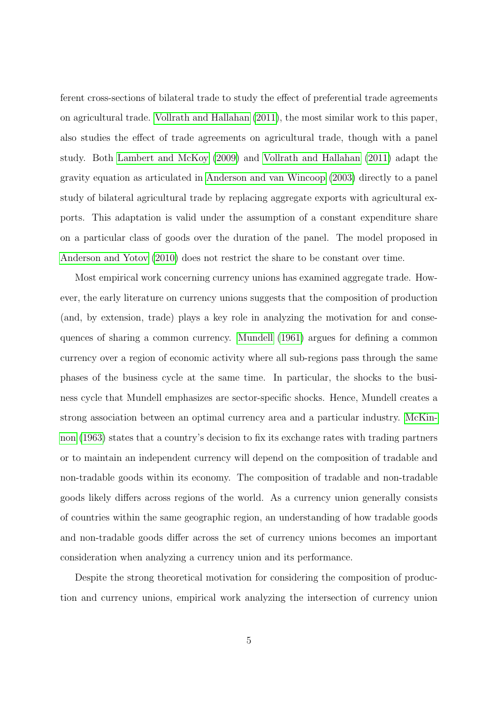ferent cross-sections of bilateral trade to study the effect of preferential trade agreements on agricultural trade. [Vollrath and Hallahan](#page-61-1) [\(2011\)](#page-61-1), the most similar work to this paper, also studies the effect of trade agreements on agricultural trade, though with a panel study. Both [Lambert and McKoy](#page-61-0) [\(2009\)](#page-61-0) and [Vollrath and Hallahan](#page-61-1) [\(2011\)](#page-61-1) adapt the gravity equation as articulated in [Anderson and van Wincoop](#page-60-12) [\(2003\)](#page-60-12) directly to a panel study of bilateral agricultural trade by replacing aggregate exports with agricultural exports. This adaptation is valid under the assumption of a constant expenditure share on a particular class of goods over the duration of the panel. The model proposed in [Anderson and Yotov](#page-60-1) [\(2010\)](#page-60-1) does not restrict the share to be constant over time.

Most empirical work concerning currency unions has examined aggregate trade. However, the early literature on currency unions suggests that the composition of production (and, by extension, trade) plays a key role in analyzing the motivation for and consequences of sharing a common currency. [Mundell](#page-61-10) [\(1961\)](#page-61-10) argues for defining a common currency over a region of economic activity where all sub-regions pass through the same phases of the business cycle at the same time. In particular, the shocks to the business cycle that Mundell emphasizes are sector-specific shocks. Hence, Mundell creates a strong association between an optimal currency area and a particular industry. [McKin](#page-61-11)[non](#page-61-11) [\(1963\)](#page-61-11) states that a country's decision to fix its exchange rates with trading partners or to maintain an independent currency will depend on the composition of tradable and non-tradable goods within its economy. The composition of tradable and non-tradable goods likely differs across regions of the world. As a currency union generally consists of countries within the same geographic region, an understanding of how tradable goods and non-tradable goods differ across the set of currency unions becomes an important consideration when analyzing a currency union and its performance.

Despite the strong theoretical motivation for considering the composition of production and currency unions, empirical work analyzing the intersection of currency union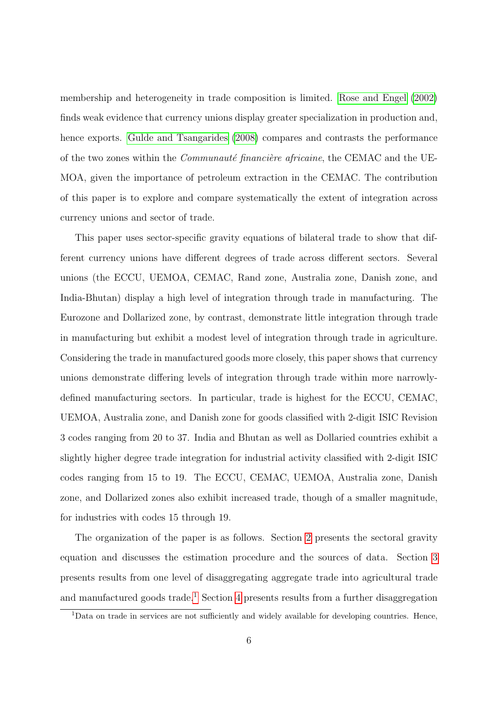membership and heterogeneity in trade composition is limited. [Rose and Engel](#page-61-12) [\(2002\)](#page-61-12) finds weak evidence that currency unions display greater specialization in production and, hence exports. [Gulde and Tsangarides](#page-60-13) [\(2008\)](#page-60-13) compares and contrasts the performance of the two zones within the *Communauté financière africaine*, the CEMAC and the UE-MOA, given the importance of petroleum extraction in the CEMAC. The contribution of this paper is to explore and compare systematically the extent of integration across currency unions and sector of trade.

This paper uses sector-specific gravity equations of bilateral trade to show that different currency unions have different degrees of trade across different sectors. Several unions (the ECCU, UEMOA, CEMAC, Rand zone, Australia zone, Danish zone, and India-Bhutan) display a high level of integration through trade in manufacturing. The Eurozone and Dollarized zone, by contrast, demonstrate little integration through trade in manufacturing but exhibit a modest level of integration through trade in agriculture. Considering the trade in manufactured goods more closely, this paper shows that currency unions demonstrate differing levels of integration through trade within more narrowlydefined manufacturing sectors. In particular, trade is highest for the ECCU, CEMAC, UEMOA, Australia zone, and Danish zone for goods classified with 2-digit ISIC Revision 3 codes ranging from 20 to 37. India and Bhutan as well as Dollaried countries exhibit a slightly higher degree trade integration for industrial activity classified with 2-digit ISIC codes ranging from 15 to 19. The ECCU, CEMAC, UEMOA, Australia zone, Danish zone, and Dollarized zones also exhibit increased trade, though of a smaller magnitude, for industries with codes 15 through 19.

The organization of the paper is as follows. Section [2](#page-6-0) presents the sectoral gravity equation and discusses the estimation procedure and the sources of data. Section [3](#page-10-0) presents results from one level of disaggregating aggregate trade into agricultural trade and manufactured goods trade.<sup>[1](#page-5-0)</sup> Section [4](#page-16-0) presents results from a further disaggregation

<span id="page-5-0"></span><sup>&</sup>lt;sup>1</sup>Data on trade in services are not sufficiently and widely available for developing countries. Hence,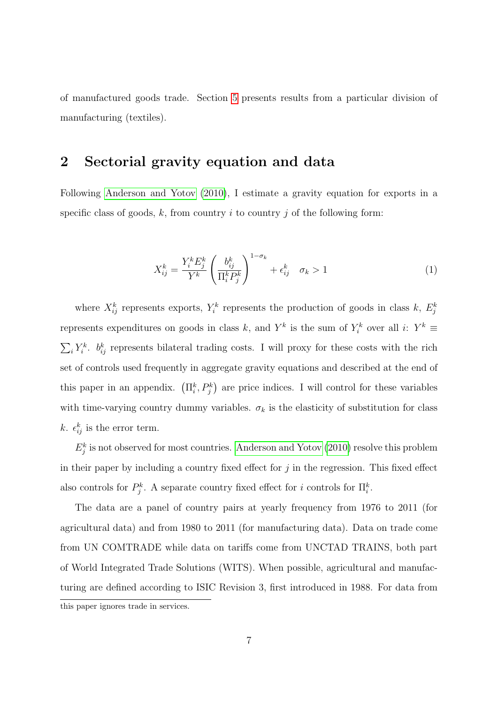of manufactured goods trade. Section [5](#page-19-0) presents results from a particular division of manufacturing (textiles).

### <span id="page-6-0"></span>2 Sectorial gravity equation and data

Following [Anderson and Yotov](#page-60-1) [\(2010\)](#page-60-1), I estimate a gravity equation for exports in a specific class of goods, k, from country i to country j of the following form:

<span id="page-6-1"></span>
$$
X_{ij}^k = \frac{Y_i^k E_j^k}{Y^k} \left(\frac{b_{ij}^k}{\Pi_i^k P_j^k}\right)^{1-\sigma_k} + \epsilon_{ij}^k \quad \sigma_k > 1
$$
\n<sup>(1)</sup>

where  $X_{ij}^k$  represents exports,  $Y_i^k$  represents the production of goods in class k,  $E_j^k$ represents expenditures on goods in class k, and  $Y^k$  is the sum of  $Y_i^k$  over all i:  $Y^k \equiv$  $\sum_i Y_i^k$ .  $b_{ij}^k$  represents bilateral trading costs. I will proxy for these costs with the rich set of controls used frequently in aggregate gravity equations and described at the end of this paper in an appendix.  $(\Pi_i^k, P_j^k)$  are price indices. I will control for these variables with time-varying country dummy variables.  $\sigma_k$  is the elasticity of substitution for class k.  $\epsilon_{ij}^k$  is the error term.

 $E_j^k$  is not observed for most countries. [Anderson and Yotov](#page-60-1) [\(2010\)](#page-60-1) resolve this problem in their paper by including a country fixed effect for  $j$  in the regression. This fixed effect also controls for  $P_j^k$ . A separate country fixed effect for i controls for  $\Pi_i^k$ .

The data are a panel of country pairs at yearly frequency from 1976 to 2011 (for agricultural data) and from 1980 to 2011 (for manufacturing data). Data on trade come from UN COMTRADE while data on tariffs come from UNCTAD TRAINS, both part of World Integrated Trade Solutions (WITS). When possible, agricultural and manufacturing are defined according to ISIC Revision 3, first introduced in 1988. For data from this paper ignores trade in services.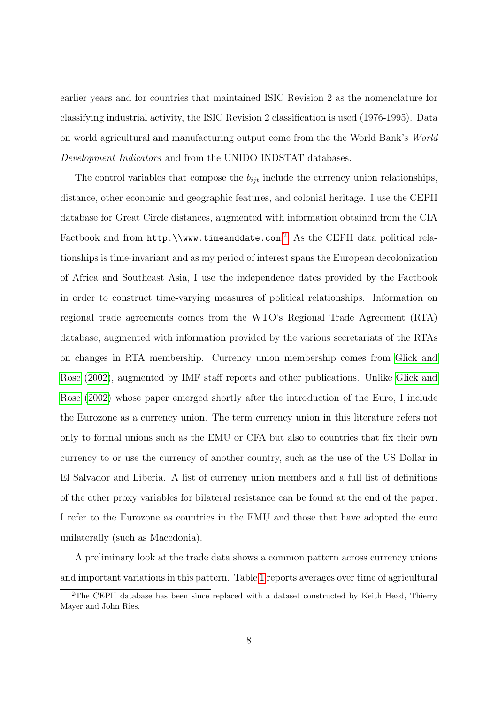earlier years and for countries that maintained ISIC Revision 2 as the nomenclature for classifying industrial activity, the ISIC Revision 2 classification is used (1976-1995). Data on world agricultural and manufacturing output come from the the World Bank's World Development Indicators and from the UNIDO INDSTAT databases.

The control variables that compose the  $b_{ijt}$  include the currency union relationships, distance, other economic and geographic features, and colonial heritage. I use the CEPII database for Great Circle distances, augmented with information obtained from the CIA Factbook and from http:\\www.timeanddate.com.<sup>[2](#page-7-0)</sup> As the CEPII data political relationships is time-invariant and as my period of interest spans the European decolonization of Africa and Southeast Asia, I use the independence dates provided by the Factbook in order to construct time-varying measures of political relationships. Information on regional trade agreements comes from the WTO's Regional Trade Agreement (RTA) database, augmented with information provided by the various secretariats of the RTAs on changes in RTA membership. Currency union membership comes from [Glick and](#page-60-2) [Rose](#page-60-2) [\(2002\)](#page-60-2), augmented by IMF staff reports and other publications. Unlike [Glick and](#page-60-2) [Rose](#page-60-2) [\(2002\)](#page-60-2) whose paper emerged shortly after the introduction of the Euro, I include the Eurozone as a currency union. The term currency union in this literature refers not only to formal unions such as the EMU or CFA but also to countries that fix their own currency to or use the currency of another country, such as the use of the US Dollar in El Salvador and Liberia. A list of currency union members and a full list of definitions of the other proxy variables for bilateral resistance can be found at the end of the paper. I refer to the Eurozone as countries in the EMU and those that have adopted the euro unilaterally (such as Macedonia).

A preliminary look at the trade data shows a common pattern across currency unions and important variations in this pattern. Table [1](#page-8-0) reports averages over time of agricultural

<span id="page-7-0"></span><sup>2</sup>The CEPII database has been since replaced with a dataset constructed by Keith Head, Thierry Mayer and John Ries.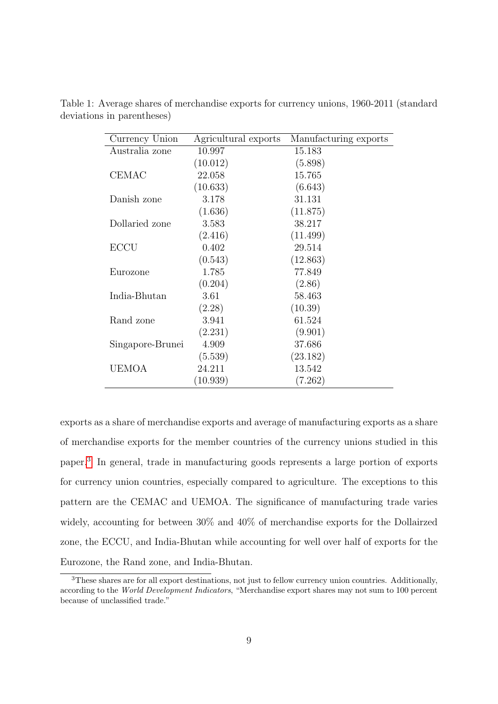<span id="page-8-0"></span>

| Currency Union   | Agricultural exports | Manufacturing exports |
|------------------|----------------------|-----------------------|
| Australia zone   | 10.997               | 15.183                |
|                  | (10.012)             | (5.898)               |
| <b>CEMAC</b>     | 22.058               | 15.765                |
|                  | (10.633)             | (6.643)               |
| Danish zone      | 3.178                | 31.131                |
|                  | (1.636)              | (11.875)              |
| Dollaried zone   | 3.583                | 38.217                |
|                  | (2.416)              | (11.499)              |
| <b>ECCU</b>      | 0.402                | 29.514                |
|                  | (0.543)              | (12.863)              |
| Eurozone         | 1.785                | 77.849                |
|                  | (0.204)              | (2.86)                |
| India-Bhutan     | 3.61                 | 58.463                |
|                  | (2.28)               | (10.39)               |
| Rand zone        | 3.941                | 61.524                |
|                  | (2.231)              | (9.901)               |
| Singapore-Brunei | 4.909                | 37.686                |
|                  | (5.539)              | (23.182)              |
| <b>UEMOA</b>     | 24.211               | 13.542                |
|                  | (10.939)             | (7.262)               |

Table 1: Average shares of merchandise exports for currency unions, 1960-2011 (standard deviations in parentheses)

exports as a share of merchandise exports and average of manufacturing exports as a share of merchandise exports for the member countries of the currency unions studied in this paper.[3](#page-8-1) In general, trade in manufacturing goods represents a large portion of exports for currency union countries, especially compared to agriculture. The exceptions to this pattern are the CEMAC and UEMOA. The significance of manufacturing trade varies widely, accounting for between 30% and 40% of merchandise exports for the Dollairzed zone, the ECCU, and India-Bhutan while accounting for well over half of exports for the Eurozone, the Rand zone, and India-Bhutan.

<span id="page-8-1"></span><sup>&</sup>lt;sup>3</sup>These shares are for all export destinations, not just to fellow currency union countries. Additionally, according to the World Development Indicators, "Merchandise export shares may not sum to 100 percent because of unclassified trade."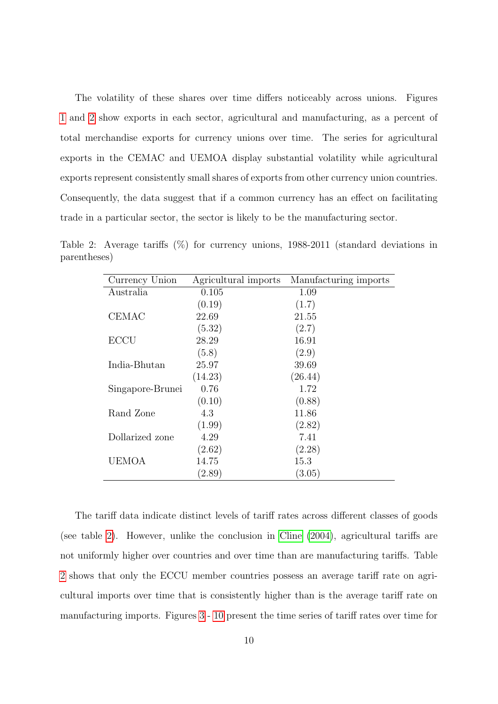The volatility of these shares over time differs noticeably across unions. Figures [1](#page-26-0) and [2](#page-27-0) show exports in each sector, agricultural and manufacturing, as a percent of total merchandise exports for currency unions over time. The series for agricultural exports in the CEMAC and UEMOA display substantial volatility while agricultural exports represent consistently small shares of exports from other currency union countries. Consequently, the data suggest that if a common currency has an effect on facilitating trade in a particular sector, the sector is likely to be the manufacturing sector.

<span id="page-9-0"></span>

| Currency Union   | Agricultural imports | Manufacturing imports |
|------------------|----------------------|-----------------------|
| Australia        | 0.105                | 1.09                  |
|                  | (0.19)               | (1.7)                 |
| <b>CEMAC</b>     | 22.69                | 21.55                 |
|                  | (5.32)               | (2.7)                 |
| <b>ECCU</b>      | 28.29                | 16.91                 |
|                  | (5.8)                | (2.9)                 |
| India-Bhutan     | 25.97                | 39.69                 |
|                  | (14.23)              | (26.44)               |
| Singapore-Brunei | 0.76                 | 1.72                  |
|                  | (0.10)               | (0.88)                |
| Rand Zone        | 4.3                  | 11.86                 |
|                  | (1.99)               | (2.82)                |
| Dollarized zone  | 4.29                 | 7.41                  |
|                  | (2.62)               | (2.28)                |
| UEMOA            | 14.75                | 15.3                  |
|                  | (2.89)               | (3.05)                |

Table 2: Average tariffs (%) for currency unions, 1988-2011 (standard deviations in parentheses)

The tariff data indicate distinct levels of tariff rates across different classes of goods (see table [2\)](#page-9-0). However, unlike the conclusion in [Cline](#page-60-8) [\(2004\)](#page-60-8), agricultural tariffs are not uniformly higher over countries and over time than are manufacturing tariffs. Table [2](#page-9-0) shows that only the ECCU member countries possess an average tariff rate on agricultural imports over time that is consistently higher than is the average tariff rate on manufacturing imports. Figures [3](#page-28-0) - [10](#page-35-0) present the time series of tariff rates over time for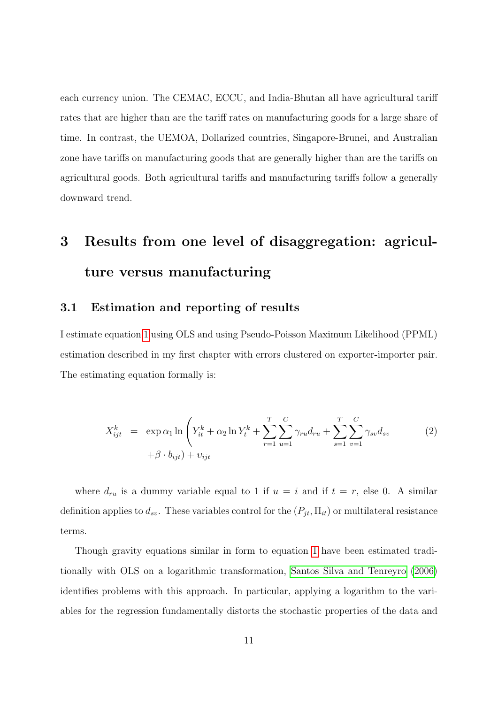each currency union. The CEMAC, ECCU, and India-Bhutan all have agricultural tariff rates that are higher than are the tariff rates on manufacturing goods for a large share of time. In contrast, the UEMOA, Dollarized countries, Singapore-Brunei, and Australian zone have tariffs on manufacturing goods that are generally higher than are the tariffs on agricultural goods. Both agricultural tariffs and manufacturing tariffs follow a generally downward trend.

# <span id="page-10-0"></span>3 Results from one level of disaggregation: agriculture versus manufacturing

### 3.1 Estimation and reporting of results

I estimate equation [1](#page-6-1) using OLS and using Pseudo-Poisson Maximum Likelihood (PPML) estimation described in my first chapter with errors clustered on exporter-importer pair. The estimating equation formally is:

$$
X_{ijt}^{k} = \exp \alpha_{1} \ln \left( Y_{it}^{k} + \alpha_{2} \ln Y_{t}^{k} + \sum_{r=1}^{T} \sum_{u=1}^{C} \gamma_{ru} d_{ru} + \sum_{s=1}^{T} \sum_{v=1}^{C} \gamma_{sv} d_{sv} \right)
$$
  
+  $\beta \cdot b_{ijt}$  +  $v_{ijt}$  (2)

where  $d_{ru}$  is a dummy variable equal to 1 if  $u = i$  and if  $t = r$ , else 0. A similar definition applies to  $d_{sv}$ . These variables control for the  $(P_{jt}, \Pi_{it})$  or multilateral resistance terms.

Though gravity equations similar in form to equation [1](#page-6-1) have been estimated traditionally with OLS on a logarithmic transformation, [Santos Silva and Tenreyro](#page-61-9) [\(2006\)](#page-61-9) identifies problems with this approach. In particular, applying a logarithm to the variables for the regression fundamentally distorts the stochastic properties of the data and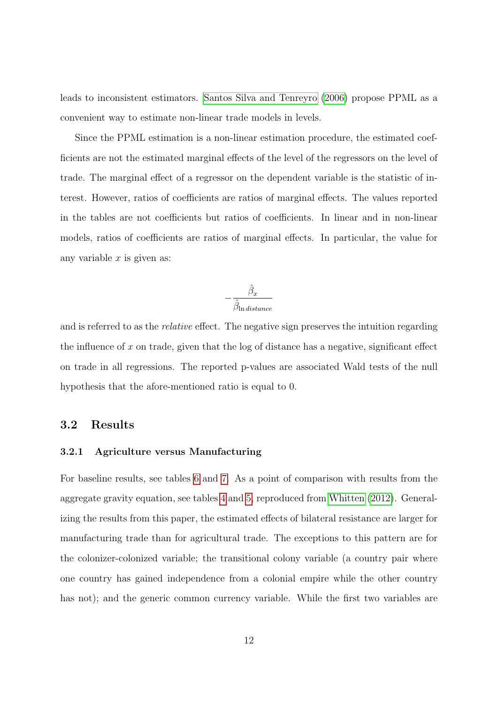leads to inconsistent estimators. [Santos Silva and Tenreyro](#page-61-9) [\(2006\)](#page-61-9) propose PPML as a convenient way to estimate non-linear trade models in levels.

Since the PPML estimation is a non-linear estimation procedure, the estimated coefficients are not the estimated marginal effects of the level of the regressors on the level of trade. The marginal effect of a regressor on the dependent variable is the statistic of interest. However, ratios of coefficients are ratios of marginal effects. The values reported in the tables are not coefficients but ratios of coefficients. In linear and in non-linear models, ratios of coefficients are ratios of marginal effects. In particular, the value for any variable  $x$  is given as:

$$
-\frac{\hat{\beta}_x}{\hat{\beta}_{\ln distance}}
$$

and is referred to as the relative effect. The negative sign preserves the intuition regarding the influence of  $x$  on trade, given that the log of distance has a negative, significant effect on trade in all regressions. The reported p-values are associated Wald tests of the null hypothesis that the afore-mentioned ratio is equal to 0.

### 3.2 Results

### 3.2.1 Agriculture versus Manufacturing

For baseline results, see tables [6](#page-43-0) and [7.](#page-44-0) As a point of comparison with results from the aggregate gravity equation, see tables [4](#page-41-0) and [5,](#page-42-0) reproduced from [Whitten](#page-61-4) [\(2012\)](#page-61-4). Generalizing the results from this paper, the estimated effects of bilateral resistance are larger for manufacturing trade than for agricultural trade. The exceptions to this pattern are for the colonizer-colonized variable; the transitional colony variable (a country pair where one country has gained independence from a colonial empire while the other country has not); and the generic common currency variable. While the first two variables are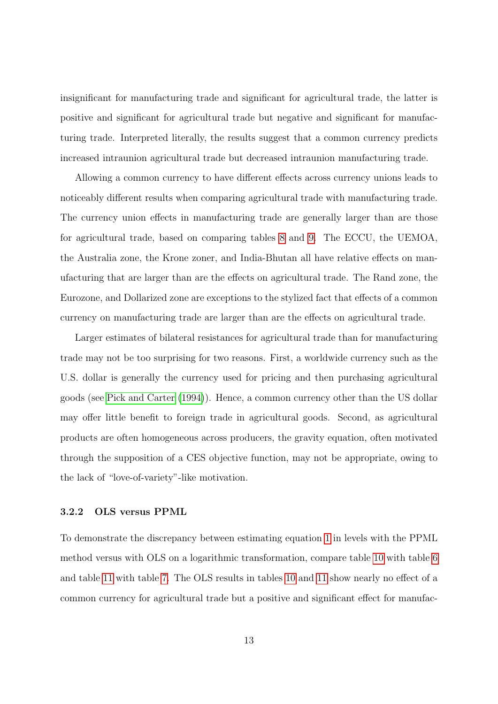insignificant for manufacturing trade and significant for agricultural trade, the latter is positive and significant for agricultural trade but negative and significant for manufacturing trade. Interpreted literally, the results suggest that a common currency predicts increased intraunion agricultural trade but decreased intraunion manufacturing trade.

Allowing a common currency to have different effects across currency unions leads to noticeably different results when comparing agricultural trade with manufacturing trade. The currency union effects in manufacturing trade are generally larger than are those for agricultural trade, based on comparing tables [8](#page-45-0) and [9.](#page-46-0) The ECCU, the UEMOA, the Australia zone, the Krone zoner, and India-Bhutan all have relative effects on manufacturing that are larger than are the effects on agricultural trade. The Rand zone, the Eurozone, and Dollarized zone are exceptions to the stylized fact that effects of a common currency on manufacturing trade are larger than are the effects on agricultural trade.

Larger estimates of bilateral resistances for agricultural trade than for manufacturing trade may not be too surprising for two reasons. First, a worldwide currency such as the U.S. dollar is generally the currency used for pricing and then purchasing agricultural goods (see [Pick and Carter](#page-61-13) [\(1994\)](#page-61-13)). Hence, a common currency other than the US dollar may offer little benefit to foreign trade in agricultural goods. Second, as agricultural products are often homogeneous across producers, the gravity equation, often motivated through the supposition of a CES objective function, may not be appropriate, owing to the lack of "love-of-variety"-like motivation.

#### 3.2.2 OLS versus PPML

To demonstrate the discrepancy between estimating equation [1](#page-6-1) in levels with the PPML method versus with OLS on a logarithmic transformation, compare table [10](#page-47-0) with table [6](#page-43-0) and table [11](#page-48-0) with table [7.](#page-44-0) The OLS results in tables [10](#page-47-0) and [11](#page-48-0) show nearly no effect of a common currency for agricultural trade but a positive and significant effect for manufac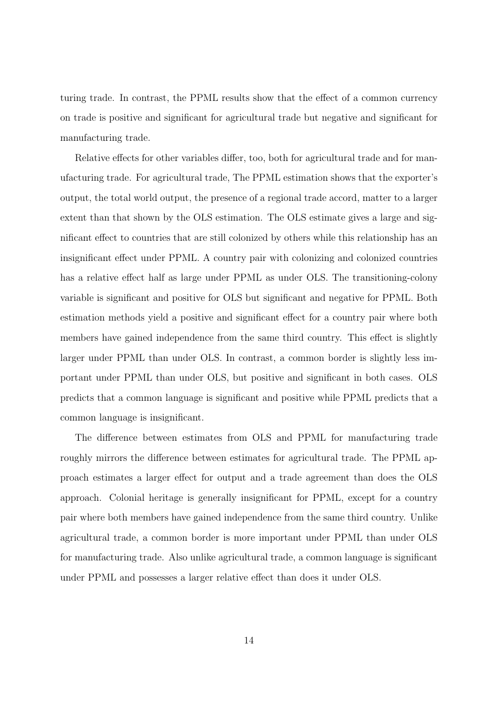turing trade. In contrast, the PPML results show that the effect of a common currency on trade is positive and significant for agricultural trade but negative and significant for manufacturing trade.

Relative effects for other variables differ, too, both for agricultural trade and for manufacturing trade. For agricultural trade, The PPML estimation shows that the exporter's output, the total world output, the presence of a regional trade accord, matter to a larger extent than that shown by the OLS estimation. The OLS estimate gives a large and significant effect to countries that are still colonized by others while this relationship has an insignificant effect under PPML. A country pair with colonizing and colonized countries has a relative effect half as large under PPML as under OLS. The transitioning-colony variable is significant and positive for OLS but significant and negative for PPML. Both estimation methods yield a positive and significant effect for a country pair where both members have gained independence from the same third country. This effect is slightly larger under PPML than under OLS. In contrast, a common border is slightly less important under PPML than under OLS, but positive and significant in both cases. OLS predicts that a common language is significant and positive while PPML predicts that a common language is insignificant.

The difference between estimates from OLS and PPML for manufacturing trade roughly mirrors the difference between estimates for agricultural trade. The PPML approach estimates a larger effect for output and a trade agreement than does the OLS approach. Colonial heritage is generally insignificant for PPML, except for a country pair where both members have gained independence from the same third country. Unlike agricultural trade, a common border is more important under PPML than under OLS for manufacturing trade. Also unlike agricultural trade, a common language is significant under PPML and possesses a larger relative effect than does it under OLS.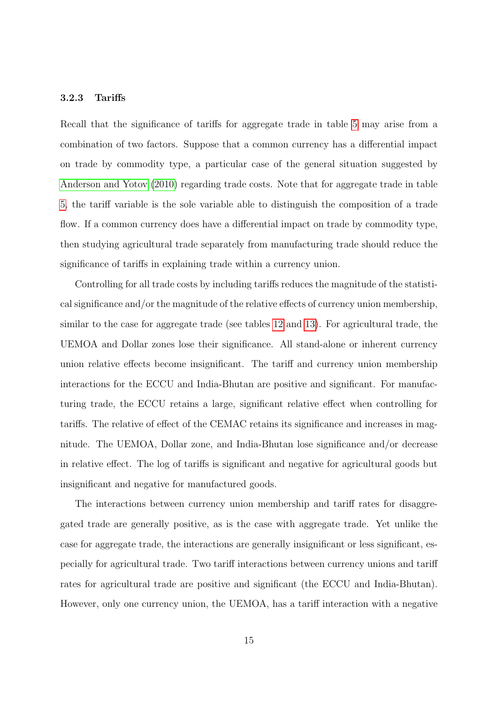### 3.2.3 Tariffs

Recall that the significance of tariffs for aggregate trade in table [5](#page-42-0) may arise from a combination of two factors. Suppose that a common currency has a differential impact on trade by commodity type, a particular case of the general situation suggested by [Anderson and Yotov](#page-60-1) [\(2010\)](#page-60-1) regarding trade costs. Note that for aggregate trade in table [5,](#page-42-0) the tariff variable is the sole variable able to distinguish the composition of a trade flow. If a common currency does have a differential impact on trade by commodity type, then studying agricultural trade separately from manufacturing trade should reduce the significance of tariffs in explaining trade within a currency union.

Controlling for all trade costs by including tariffs reduces the magnitude of the statistical significance and/or the magnitude of the relative effects of currency union membership, similar to the case for aggregate trade (see tables [12](#page-49-0) and [13\)](#page-50-0). For agricultural trade, the UEMOA and Dollar zones lose their significance. All stand-alone or inherent currency union relative effects become insignificant. The tariff and currency union membership interactions for the ECCU and India-Bhutan are positive and significant. For manufacturing trade, the ECCU retains a large, significant relative effect when controlling for tariffs. The relative of effect of the CEMAC retains its significance and increases in magnitude. The UEMOA, Dollar zone, and India-Bhutan lose significance and/or decrease in relative effect. The log of tariffs is significant and negative for agricultural goods but insignificant and negative for manufactured goods.

The interactions between currency union membership and tariff rates for disaggregated trade are generally positive, as is the case with aggregate trade. Yet unlike the case for aggregate trade, the interactions are generally insignificant or less significant, especially for agricultural trade. Two tariff interactions between currency unions and tariff rates for agricultural trade are positive and significant (the ECCU and India-Bhutan). However, only one currency union, the UEMOA, has a tariff interaction with a negative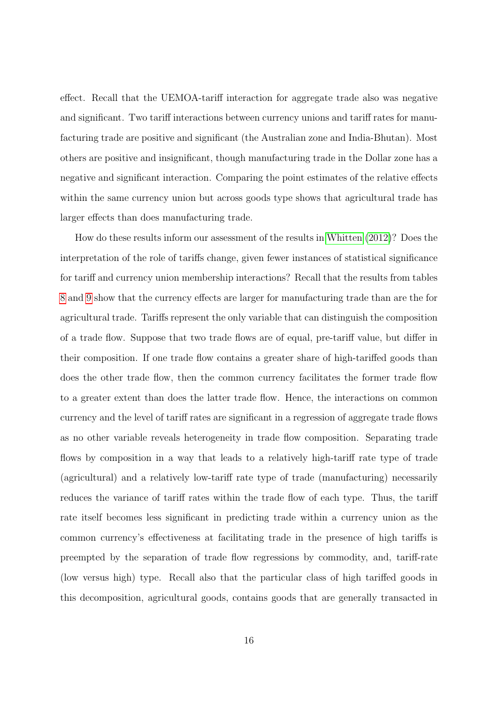effect. Recall that the UEMOA-tariff interaction for aggregate trade also was negative and significant. Two tariff interactions between currency unions and tariff rates for manufacturing trade are positive and significant (the Australian zone and India-Bhutan). Most others are positive and insignificant, though manufacturing trade in the Dollar zone has a negative and significant interaction. Comparing the point estimates of the relative effects within the same currency union but across goods type shows that agricultural trade has larger effects than does manufacturing trade.

How do these results inform our assessment of the results in [Whitten](#page-61-4) [\(2012\)](#page-61-4)? Does the interpretation of the role of tariffs change, given fewer instances of statistical significance for tariff and currency union membership interactions? Recall that the results from tables [8](#page-45-0) and [9](#page-46-0) show that the currency effects are larger for manufacturing trade than are the for agricultural trade. Tariffs represent the only variable that can distinguish the composition of a trade flow. Suppose that two trade flows are of equal, pre-tariff value, but differ in their composition. If one trade flow contains a greater share of high-tariffed goods than does the other trade flow, then the common currency facilitates the former trade flow to a greater extent than does the latter trade flow. Hence, the interactions on common currency and the level of tariff rates are significant in a regression of aggregate trade flows as no other variable reveals heterogeneity in trade flow composition. Separating trade flows by composition in a way that leads to a relatively high-tariff rate type of trade (agricultural) and a relatively low-tariff rate type of trade (manufacturing) necessarily reduces the variance of tariff rates within the trade flow of each type. Thus, the tariff rate itself becomes less significant in predicting trade within a currency union as the common currency's effectiveness at facilitating trade in the presence of high tariffs is preempted by the separation of trade flow regressions by commodity, and, tariff-rate (low versus high) type. Recall also that the particular class of high tariffed goods in this decomposition, agricultural goods, contains goods that are generally transacted in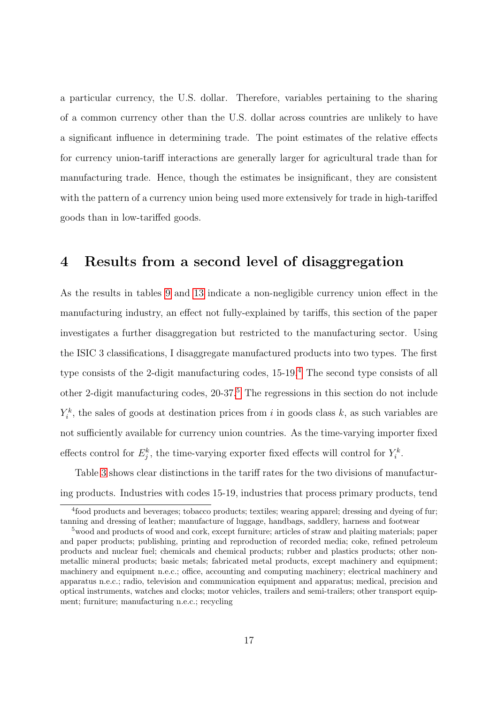a particular currency, the U.S. dollar. Therefore, variables pertaining to the sharing of a common currency other than the U.S. dollar across countries are unlikely to have a significant influence in determining trade. The point estimates of the relative effects for currency union-tariff interactions are generally larger for agricultural trade than for manufacturing trade. Hence, though the estimates be insignificant, they are consistent with the pattern of a currency union being used more extensively for trade in high-tariffed goods than in low-tariffed goods.

### <span id="page-16-0"></span>4 Results from a second level of disaggregation

As the results in tables [9](#page-46-0) and [13](#page-50-0) indicate a non-negligible currency union effect in the manufacturing industry, an effect not fully-explained by tariffs, this section of the paper investigates a further disaggregation but restricted to the manufacturing sector. Using the ISIC 3 classifications, I disaggregate manufactured products into two types. The first type consists of the 2-digit manufacturing codes, 15-19.[4](#page-16-1) The second type consists of all other 2-digit manufacturing codes, 20-37.[5](#page-16-2) The regressions in this section do not include  $Y_i^k$ , the sales of goods at destination prices from i in goods class k, as such variables are not sufficiently available for currency union countries. As the time-varying importer fixed effects control for  $E_j^k$ , the time-varying exporter fixed effects will control for  $Y_i^k$ .

Table [3](#page-17-0) shows clear distinctions in the tariff rates for the two divisions of manufacturing products. Industries with codes 15-19, industries that process primary products, tend

<span id="page-16-1"></span><sup>4</sup> food products and beverages; tobacco products; textiles; wearing apparel; dressing and dyeing of fur; tanning and dressing of leather; manufacture of luggage, handbags, saddlery, harness and footwear

<span id="page-16-2"></span><sup>&</sup>lt;sup>5</sup> wood and products of wood and cork, except furniture; articles of straw and plaiting materials; paper and paper products; publishing, printing and reproduction of recorded media; coke, refined petroleum products and nuclear fuel; chemicals and chemical products; rubber and plastics products; other nonmetallic mineral products; basic metals; fabricated metal products, except machinery and equipment; machinery and equipment n.e.c.; office, accounting and computing machinery; electrical machinery and apparatus n.e.c.; radio, television and communication equipment and apparatus; medical, precision and optical instruments, watches and clocks; motor vehicles, trailers and semi-trailers; other transport equipment; furniture; manufacturing n.e.c.; recycling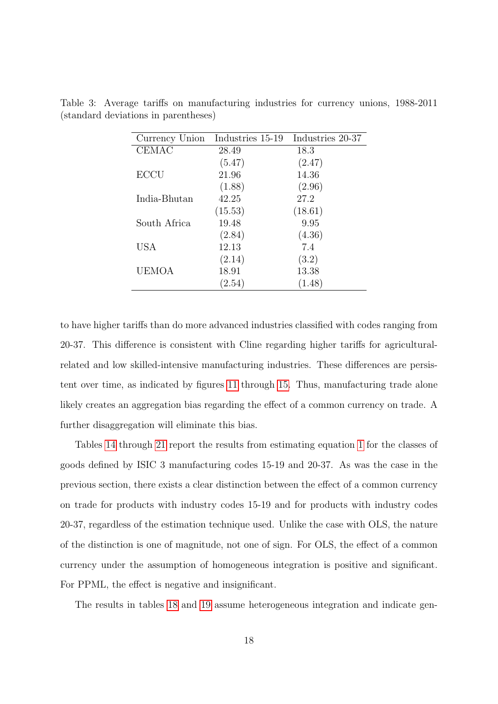| Currency Union | Industries 15-19 | Industries 20-37 |
|----------------|------------------|------------------|
| <b>CEMAC</b>   | 28.49            | 18.3             |
|                | (5.47)           | (2.47)           |
| <b>ECCU</b>    | 21.96            | 14.36            |
|                | (1.88)           | (2.96)           |
| India-Bhutan   | 42.25            | 27.2             |
|                | (15.53)          | (18.61)          |
| South Africa   | 19.48            | 9.95             |
|                | (2.84)           | (4.36)           |
| <b>USA</b>     | 12.13            | 7.4              |
|                | (2.14)           | (3.2)            |
| <b>UEMOA</b>   | 18.91            | 13.38            |
|                | (2.54)           | (1.48)           |

<span id="page-17-0"></span>Table 3: Average tariffs on manufacturing industries for currency unions, 1988-2011 (standard deviations in parentheses)

to have higher tariffs than do more advanced industries classified with codes ranging from 20-37. This difference is consistent with Cline regarding higher tariffs for agriculturalrelated and low skilled-intensive manufacturing industries. These differences are persistent over time, as indicated by figures [11](#page-36-0) through [15.](#page-40-0) Thus, manufacturing trade alone likely creates an aggregation bias regarding the effect of a common currency on trade. A further disaggregation will eliminate this bias.

Tables [14](#page-51-0) through [21](#page-58-0) report the results from estimating equation [1](#page-6-1) for the classes of goods defined by ISIC 3 manufacturing codes 15-19 and 20-37. As was the case in the previous section, there exists a clear distinction between the effect of a common currency on trade for products with industry codes 15-19 and for products with industry codes 20-37, regardless of the estimation technique used. Unlike the case with OLS, the nature of the distinction is one of magnitude, not one of sign. For OLS, the effect of a common currency under the assumption of homogeneous integration is positive and significant. For PPML, the effect is negative and insignificant.

The results in tables [18](#page-55-0) and [19](#page-56-0) assume heterogeneous integration and indicate gen-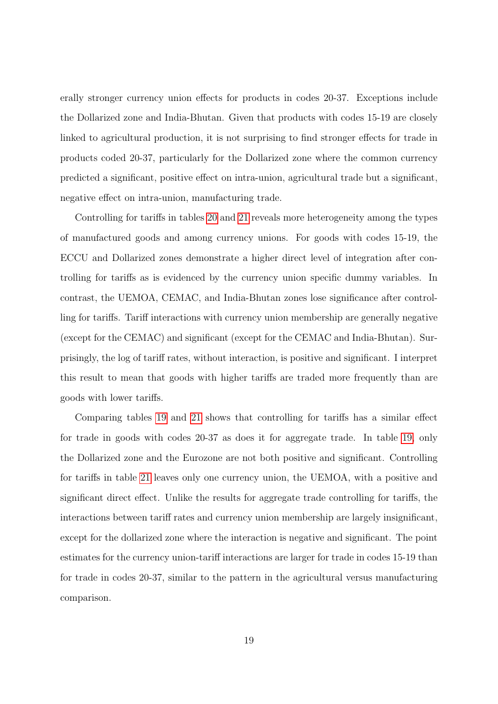erally stronger currency union effects for products in codes 20-37. Exceptions include the Dollarized zone and India-Bhutan. Given that products with codes 15-19 are closely linked to agricultural production, it is not surprising to find stronger effects for trade in products coded 20-37, particularly for the Dollarized zone where the common currency predicted a significant, positive effect on intra-union, agricultural trade but a significant, negative effect on intra-union, manufacturing trade.

Controlling for tariffs in tables [20](#page-57-0) and [21](#page-58-0) reveals more heterogeneity among the types of manufactured goods and among currency unions. For goods with codes 15-19, the ECCU and Dollarized zones demonstrate a higher direct level of integration after controlling for tariffs as is evidenced by the currency union specific dummy variables. In contrast, the UEMOA, CEMAC, and India-Bhutan zones lose significance after controlling for tariffs. Tariff interactions with currency union membership are generally negative (except for the CEMAC) and significant (except for the CEMAC and India-Bhutan). Surprisingly, the log of tariff rates, without interaction, is positive and significant. I interpret this result to mean that goods with higher tariffs are traded more frequently than are goods with lower tariffs.

Comparing tables [19](#page-56-0) and [21](#page-58-0) shows that controlling for tariffs has a similar effect for trade in goods with codes 20-37 as does it for aggregate trade. In table [19,](#page-56-0) only the Dollarized zone and the Eurozone are not both positive and significant. Controlling for tariffs in table [21](#page-58-0) leaves only one currency union, the UEMOA, with a positive and significant direct effect. Unlike the results for aggregate trade controlling for tariffs, the interactions between tariff rates and currency union membership are largely insignificant, except for the dollarized zone where the interaction is negative and significant. The point estimates for the currency union-tariff interactions are larger for trade in codes 15-19 than for trade in codes 20-37, similar to the pattern in the agricultural versus manufacturing comparison.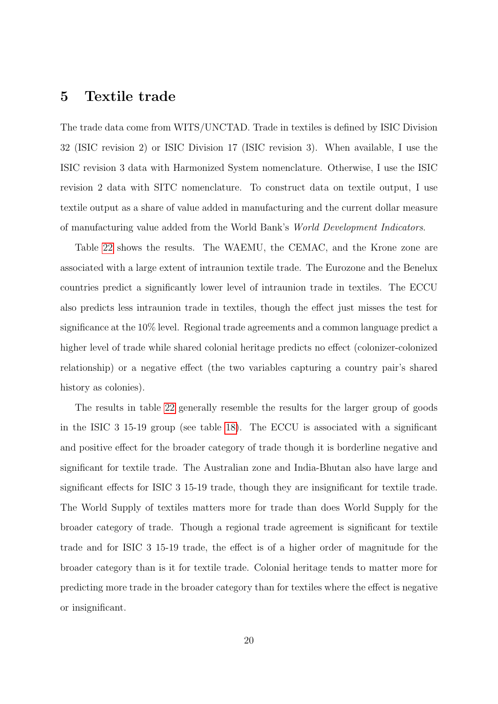### <span id="page-19-0"></span>5 Textile trade

The trade data come from WITS/UNCTAD. Trade in textiles is defined by ISIC Division 32 (ISIC revision 2) or ISIC Division 17 (ISIC revision 3). When available, I use the ISIC revision 3 data with Harmonized System nomenclature. Otherwise, I use the ISIC revision 2 data with SITC nomenclature. To construct data on textile output, I use textile output as a share of value added in manufacturing and the current dollar measure of manufacturing value added from the World Bank's World Development Indicators.

Table [22](#page-59-0) shows the results. The WAEMU, the CEMAC, and the Krone zone are associated with a large extent of intraunion textile trade. The Eurozone and the Benelux countries predict a significantly lower level of intraunion trade in textiles. The ECCU also predicts less intraunion trade in textiles, though the effect just misses the test for significance at the 10% level. Regional trade agreements and a common language predict a higher level of trade while shared colonial heritage predicts no effect (colonizer-colonized relationship) or a negative effect (the two variables capturing a country pair's shared history as colonies).

The results in table [22](#page-59-0) generally resemble the results for the larger group of goods in the ISIC 3 15-19 group (see table [18\)](#page-55-0). The ECCU is associated with a significant and positive effect for the broader category of trade though it is borderline negative and significant for textile trade. The Australian zone and India-Bhutan also have large and significant effects for ISIC 3 15-19 trade, though they are insignificant for textile trade. The World Supply of textiles matters more for trade than does World Supply for the broader category of trade. Though a regional trade agreement is significant for textile trade and for ISIC 3 15-19 trade, the effect is of a higher order of magnitude for the broader category than is it for textile trade. Colonial heritage tends to matter more for predicting more trade in the broader category than for textiles where the effect is negative or insignificant.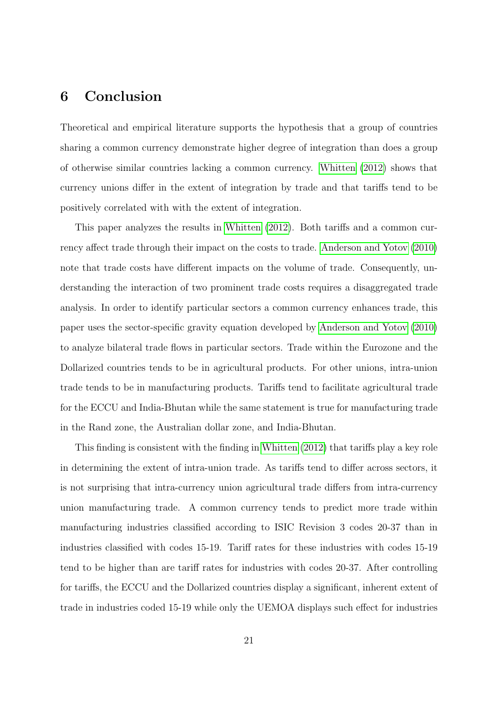### 6 Conclusion

Theoretical and empirical literature supports the hypothesis that a group of countries sharing a common currency demonstrate higher degree of integration than does a group of otherwise similar countries lacking a common currency. [Whitten](#page-61-4) [\(2012\)](#page-61-4) shows that currency unions differ in the extent of integration by trade and that tariffs tend to be positively correlated with with the extent of integration.

This paper analyzes the results in [Whitten](#page-61-4) [\(2012\)](#page-61-4). Both tariffs and a common currency affect trade through their impact on the costs to trade. [Anderson and Yotov](#page-60-1) [\(2010\)](#page-60-1) note that trade costs have different impacts on the volume of trade. Consequently, understanding the interaction of two prominent trade costs requires a disaggregated trade analysis. In order to identify particular sectors a common currency enhances trade, this paper uses the sector-specific gravity equation developed by [Anderson and Yotov](#page-60-1) [\(2010\)](#page-60-1) to analyze bilateral trade flows in particular sectors. Trade within the Eurozone and the Dollarized countries tends to be in agricultural products. For other unions, intra-union trade tends to be in manufacturing products. Tariffs tend to facilitate agricultural trade for the ECCU and India-Bhutan while the same statement is true for manufacturing trade in the Rand zone, the Australian dollar zone, and India-Bhutan.

This finding is consistent with the finding in [Whitten](#page-61-4) [\(2012\)](#page-61-4) that tariffs play a key role in determining the extent of intra-union trade. As tariffs tend to differ across sectors, it is not surprising that intra-currency union agricultural trade differs from intra-currency union manufacturing trade. A common currency tends to predict more trade within manufacturing industries classified according to ISIC Revision 3 codes 20-37 than in industries classified with codes 15-19. Tariff rates for these industries with codes 15-19 tend to be higher than are tariff rates for industries with codes 20-37. After controlling for tariffs, the ECCU and the Dollarized countries display a significant, inherent extent of trade in industries coded 15-19 while only the UEMOA displays such effect for industries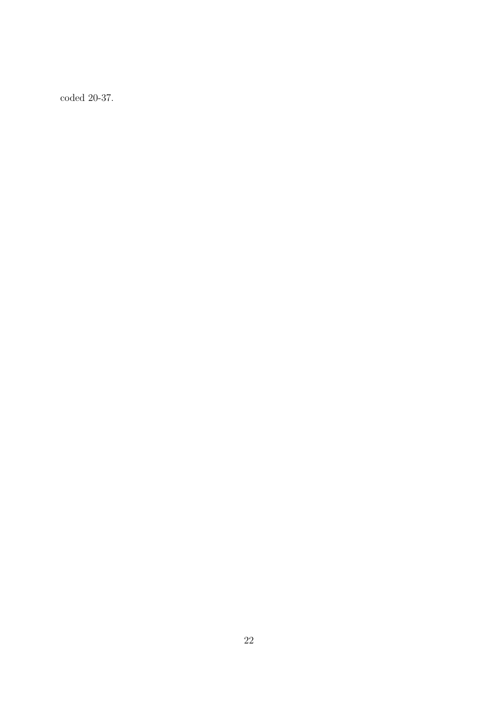coded 20-37.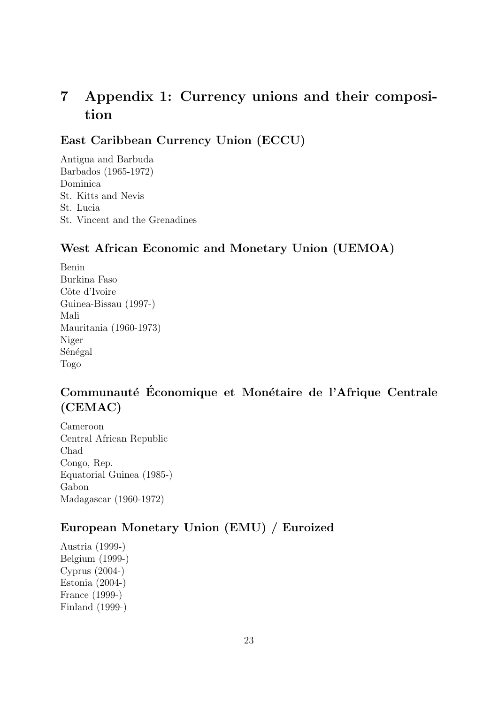## 7 Appendix 1: Currency unions and their composition

East Caribbean Currency Union (ECCU)

Antigua and Barbuda Barbados (1965-1972) Dominica St. Kitts and Nevis St. Lucia St. Vincent and the Grenadines

### West African Economic and Monetary Union (UEMOA)

Benin Burkina Faso Côte d'Ivoire Guinea-Bissau (1997-) Mali Mauritania (1960-1973) Niger Sénégal Togo

## Communauté Économique et Monétaire de l'Afrique Centrale (CEMAC)

Cameroon Central African Republic Chad Congo, Rep. Equatorial Guinea (1985-) Gabon Madagascar (1960-1972)

### European Monetary Union (EMU) / Euroized

Austria (1999-) Belgium (1999-) Cyprus (2004-) Estonia (2004-) France (1999-) Finland (1999-)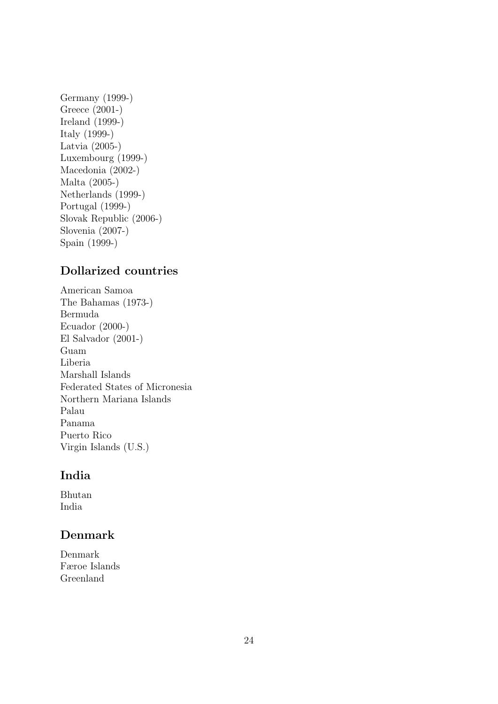Germany (1999-) Greece (2001-) Ireland (1999-) Italy (1999-) Latvia (2005-) Luxembourg (1999-) Macedonia (2002-) Malta (2005-) Netherlands (1999-) Portugal (1999-) Slovak Republic (2006-) Slovenia (2007-) Spain (1999-)

### Dollarized countries

American Samoa The Bahamas (1973-) Bermuda Ecuador (2000-) El Salvador (2001-) Guam Liberia Marshall Islands Federated States of Micronesia Northern Mariana Islands Palau Panama Puerto Rico Virgin Islands (U.S.)

### India

Bhutan India

### Denmark

Denmark Færoe Islands Greenland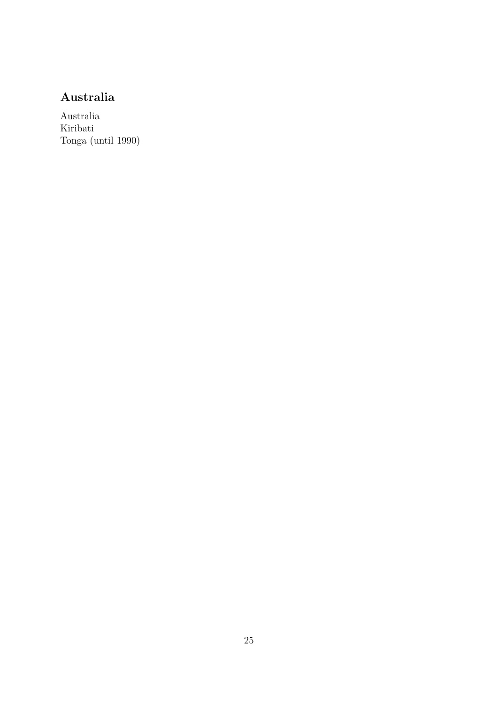## Australia

Australia Kiribati Tonga (until 1990)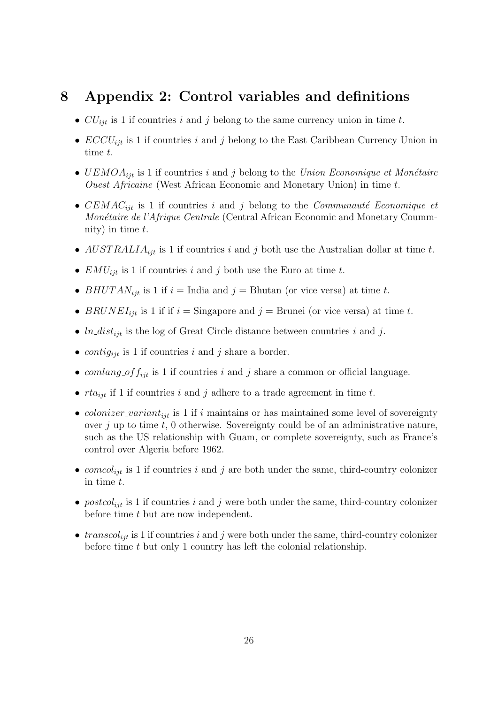### 8 Appendix 2: Control variables and definitions

- $CU_{ijt}$  is 1 if countries i and j belong to the same currency union in time t.
- $ECCU_{ijt}$  is 1 if countries i and j belong to the East Caribbean Currency Union in time t.
- $UEMOA<sub>ijt</sub>$  is 1 if countries i and j belong to the Union Economique et Monétaire Ouest Africaine (West African Economic and Monetary Union) in time t.
- CEMAC<sub>ijt</sub> is 1 if countries i and j belong to the Communauté Economique et Monétaire de l'Afrique Centrale (Central African Economic and Monetary Coummnity) in time  $t$ .
- $AUSTRALIA_{ijt}$  is 1 if countries i and j both use the Australian dollar at time t.
- $EMU_{ijt}$  is 1 if countries i and j both use the Euro at time t.
- BHUTAN<sub>ijt</sub> is 1 if  $i =$  India and  $j =$  Bhutan (or vice versa) at time t.
- BRUNEI<sub>ijt</sub> is 1 if if  $i =$  Singapore and  $j =$  Brunei (or vice versa) at time t.
- $ln\_dist_{ijt}$  is the log of Great Circle distance between countries i and j.
- contig<sub>iit</sub> is 1 if countries i and j share a border.
- comlang of  $f_{iit}$  is 1 if countries i and j share a common or official language.
- $rta_{ijt}$  if 1 if countries i and j adhere to a trade agreement in time t.
- *colonizer\_variant<sub>ijt</sub>* is 1 if *i* maintains or has maintained some level of sovereignty over  $j$  up to time  $t$ , 0 otherwise. Sovereignty could be of an administrative nature, such as the US relationship with Guam, or complete sovereignty, such as France's control over Algeria before 1962.
- comcol<sub>ijt</sub> is 1 if countries i and j are both under the same, third-country colonizer in time t.
- postcol<sub>ijt</sub> is 1 if countries i and j were both under the same, third-country colonizer before time  $t$  but are now independent.
- transcol<sub>iit</sub> is 1 if countries i and j were both under the same, third-country colonizer before time t but only 1 country has left the colonial relationship.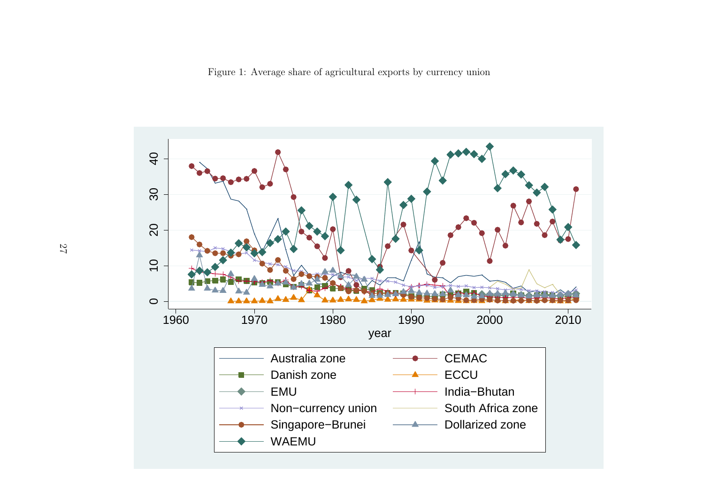<span id="page-26-0"></span>Figure 1: Average share of agricultural exports by currency union

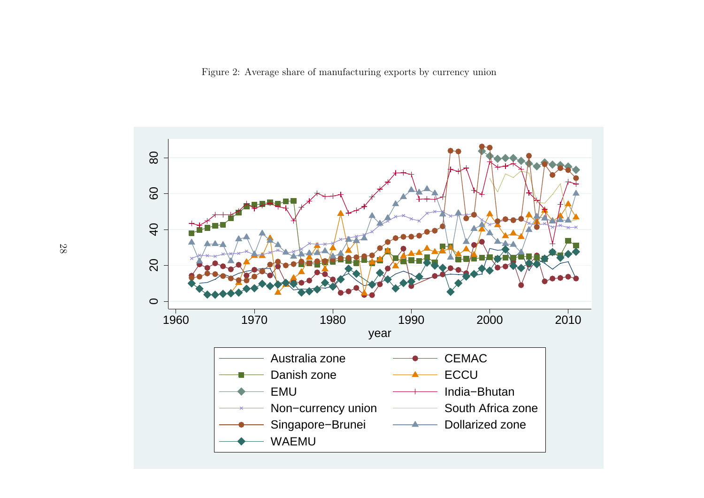<span id="page-27-0"></span>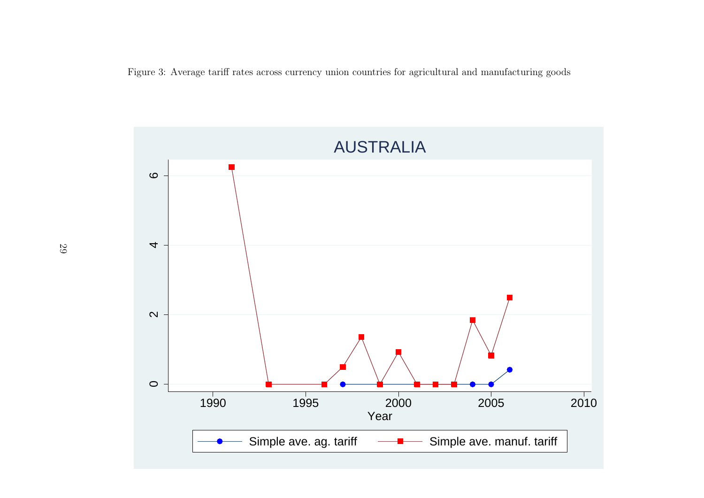<span id="page-28-0"></span>Figure 3: Average tariff rates across currency union countries for agricultural and manufacturing goods

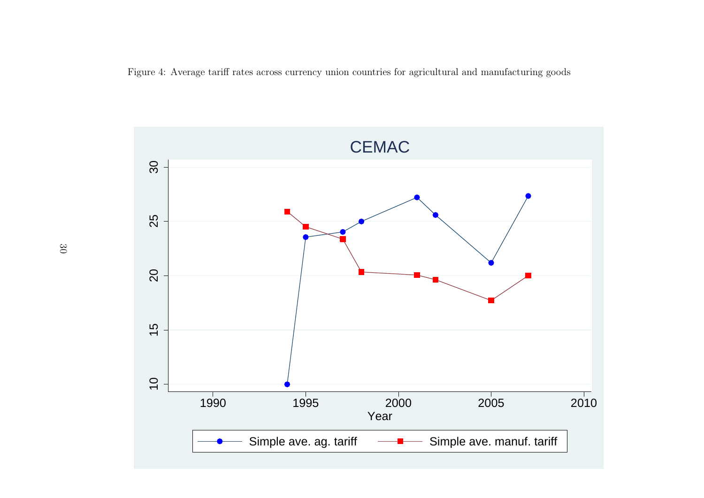Figure 4: Average tariff rates across currency union countries for agricultural and manufacturing goods

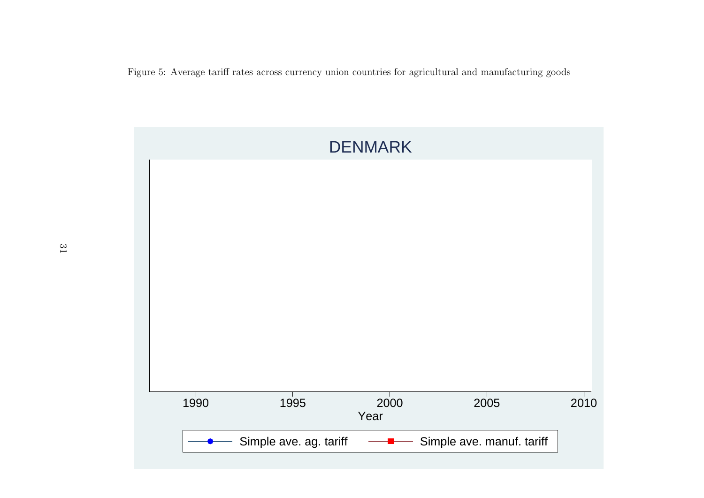Figure 5: Average tariff rates across currency union countries for agricultural and manufacturing goods

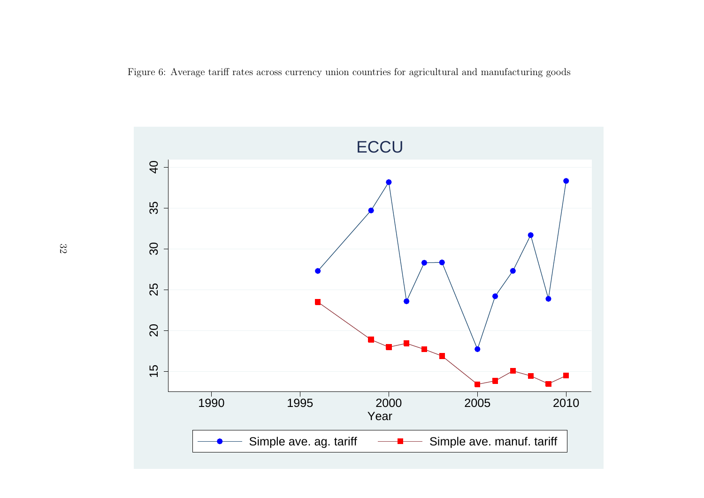Figure 6: Average tariff rates across currency union countries for agricultural and manufacturing goods

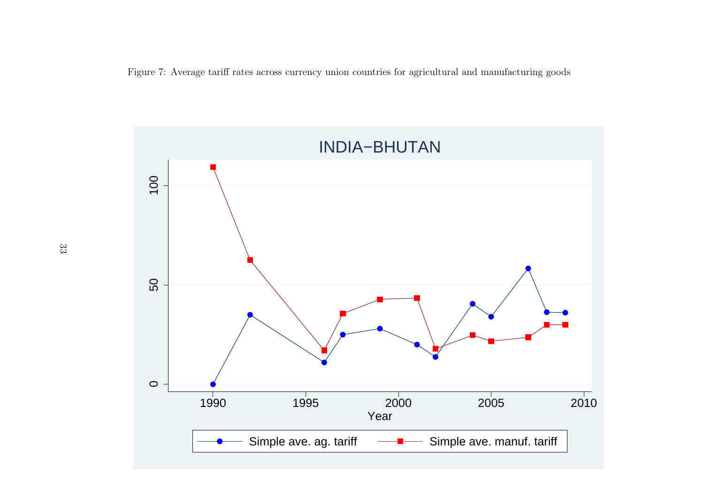Figure 7: Average tariff rates across currency union countries for agricultural and manufacturing goods

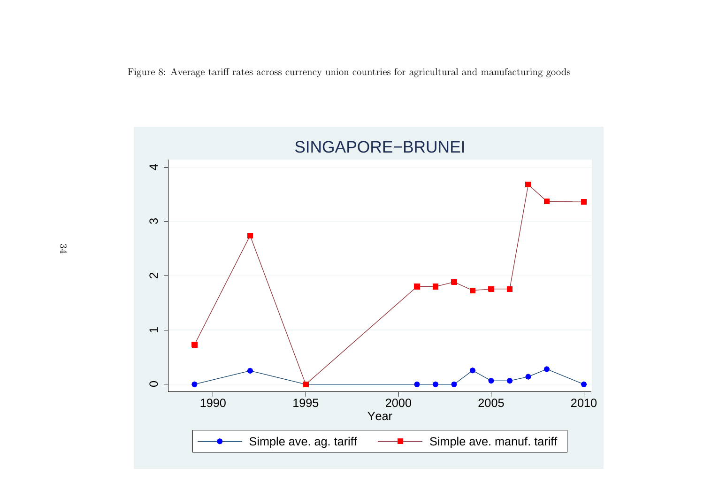Figure 8: Average tariff rates across currency union countries for agricultural and manufacturing goods

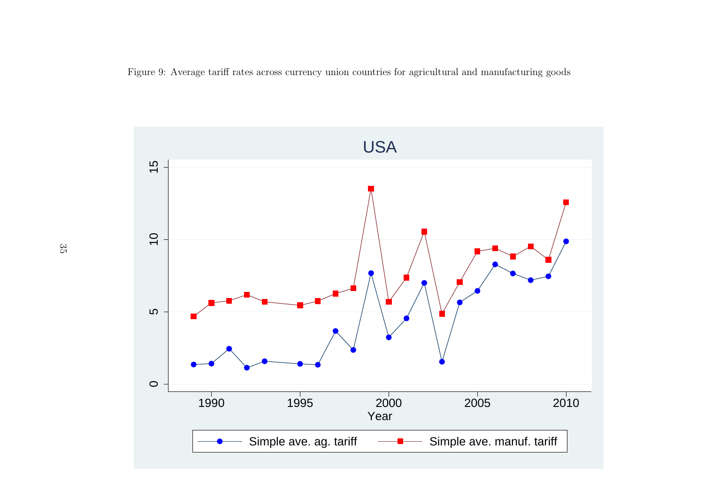Figure 9: Average tariff rates across currency union countries for agricultural and manufacturing goods

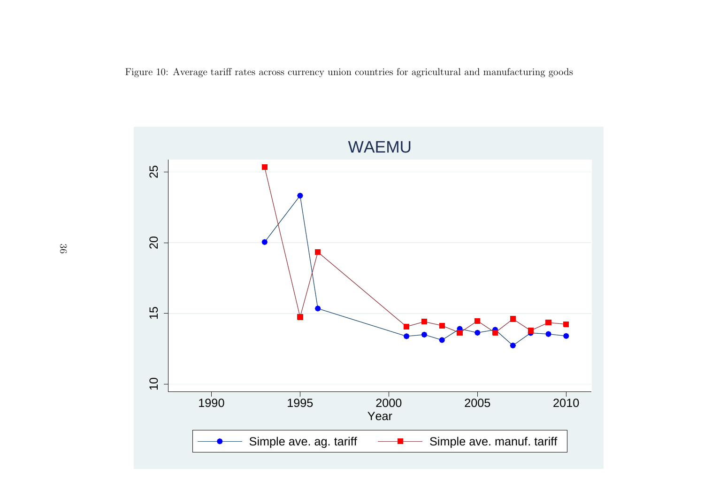<span id="page-35-0"></span>Figure 10: Average tariff rates across currency union countries for agricultural and manufacturing goods

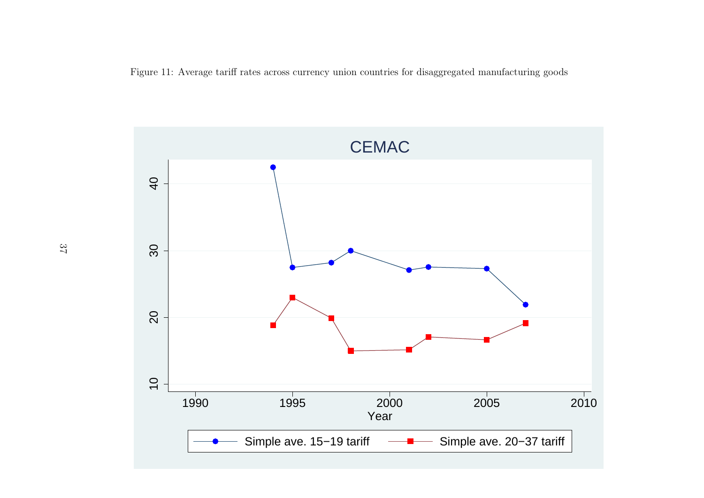<span id="page-36-0"></span>Figure 11: Average tariff rates across currency union countries for disaggregated manufacturing goods

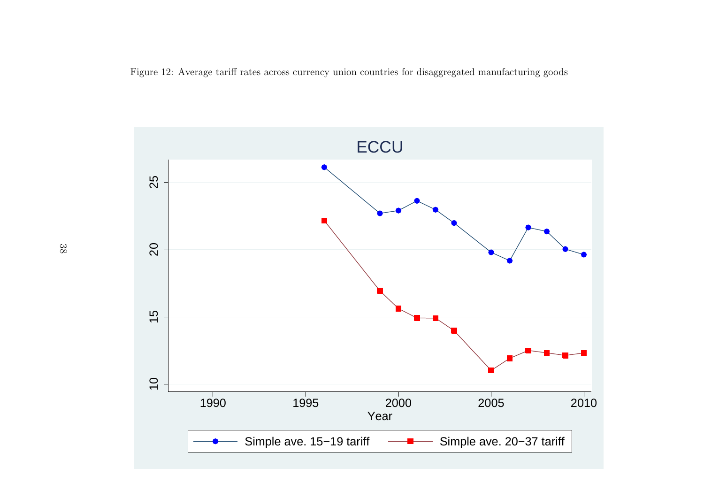Figure 12: Average tariff rates across currency union countries for disaggregated manufacturing goods

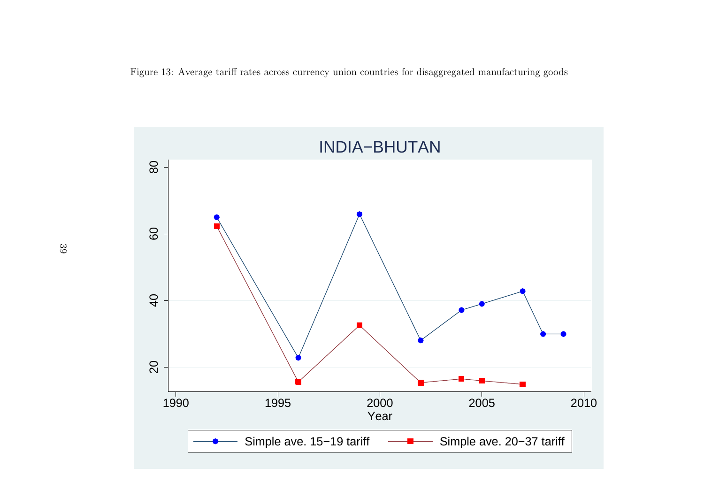Figure 13: Average tariff rates across currency union countries for disaggregated manufacturing goods

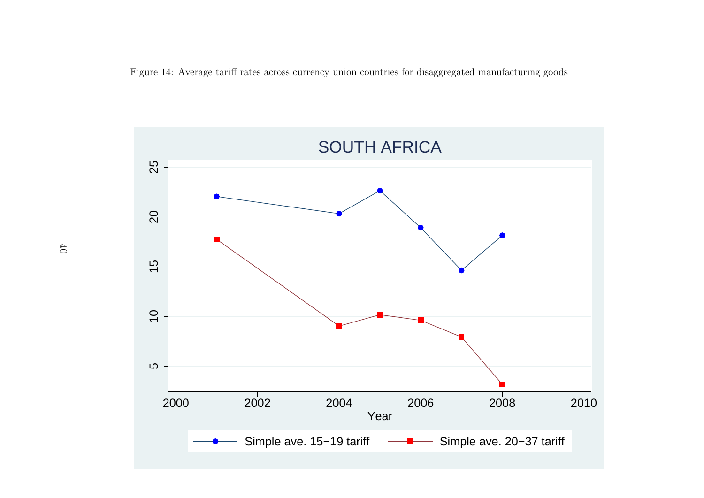Figure 14: Average tariff rates across currency union countries for disaggregated manufacturing goods

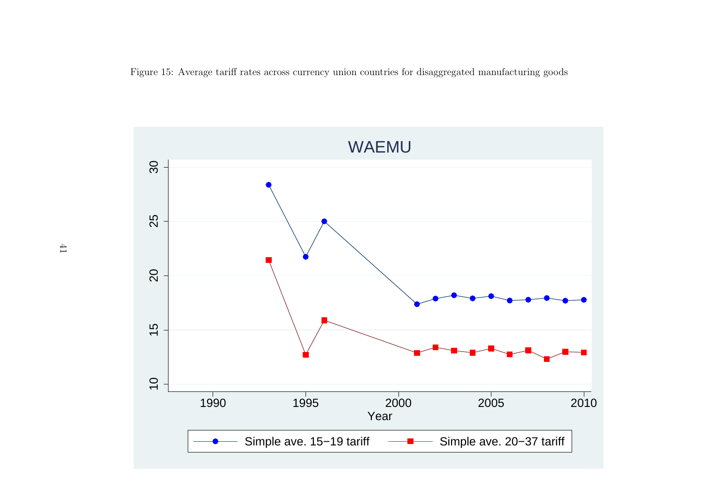<span id="page-40-0"></span>Figure 15: Average tariff rates across currency union countries for disaggregated manufacturing goods

![](_page_40_Figure_1.jpeg)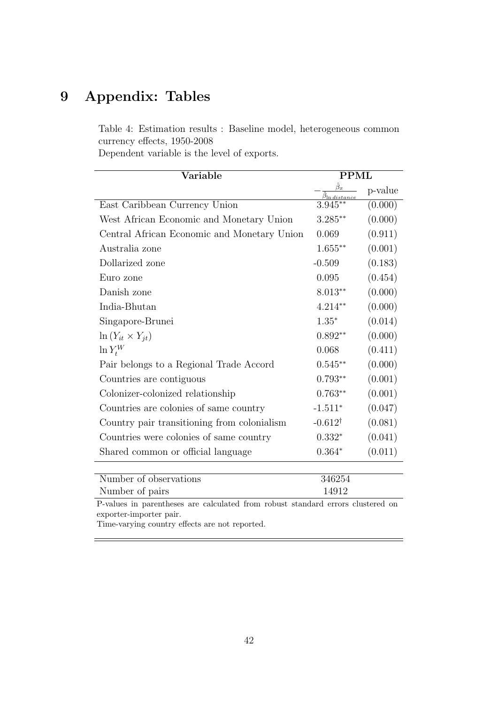## <span id="page-41-0"></span>9 Appendix: Tables

Table 4: Estimation results : Baseline model, heterogeneous common currency effects, 1950-2008

Dependent variable is the level of exports.

| Variable                                    | <b>PPML</b>        |         |
|---------------------------------------------|--------------------|---------|
|                                             |                    | p-value |
| East Caribbean Currency Union               | $3.945**$          | (0.000) |
| West African Economic and Monetary Union    | $3.285^{\ast\ast}$ | (0.000) |
| Central African Economic and Monetary Union | 0.069              | (0.911) |
| Australia zone                              | $1.655***$         | (0.001) |
| Dollarized zone                             | $-0.509$           | (0.183) |
| Euro zone                                   | 0.095              | (0.454) |
| Danish zone                                 | $8.013**$          | (0.000) |
| India-Bhutan                                | $4.214**$          | (0.000) |
| Singapore-Brunei                            | $1.35*$            | (0.014) |
| $\ln(Y_{it} \times Y_{it})$                 | $0.892**$          | (0.000) |
| $\ln Y_t^W$                                 | 0.068              | (0.411) |
| Pair belongs to a Regional Trade Accord     | $0.545**$          | (0.000) |
| Countries are contiguous                    | $0.793**$          | (0.001) |
| Colonizer-colonized relationship            | $0.763**$          | (0.001) |
| Countries are colonies of same country      | $-1.511*$          | (0.047) |
| Country pair transitioning from colonialism | $-0.612^{\dagger}$ | (0.081) |
| Countries were colonies of same country     | $0.332*$           | (0.041) |
| Shared common or official language          | $0.364*$           | (0.011) |
|                                             |                    |         |

| Number of observations | 346254 |
|------------------------|--------|
| Number of pairs        | 14912  |

P-values in parentheses are calculated from robust standard errors clustered on exporter-importer pair.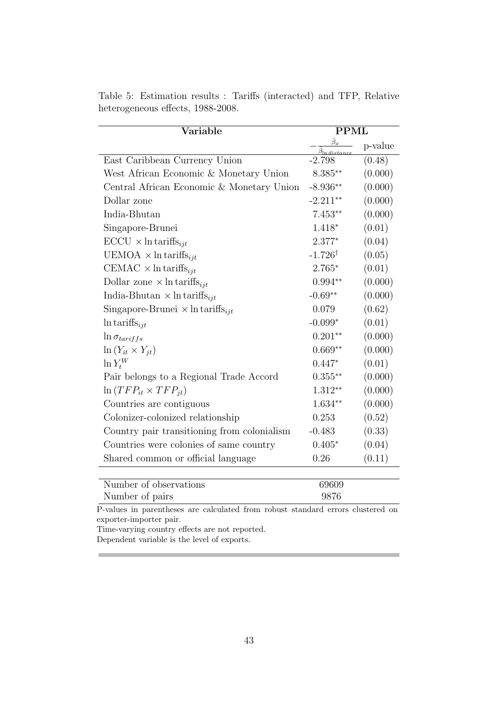| Variable                                            | <b>PPML</b>        |         |
|-----------------------------------------------------|--------------------|---------|
|                                                     |                    | p-value |
| East Caribbean Currency Union                       | $-2.798$           | (0.48)  |
| West African Economic & Monetary Union              | $8.385**$          | (0.000) |
| Central African Economic & Monetary Union           | $-8.936**$         | (0.000) |
| Dollar zone                                         | $-2.211**$         | (0.000) |
| India-Bhutan                                        | $7.453**$          | (0.000) |
| Singapore-Brunei                                    | $1.418*$           | (0.01)  |
| $\text{ECCU} \times \ln \text{tariffs}_{ijt}$       | $2.377*$           | (0.04)  |
| UEMOA $\times$ ln tariffs <sub>ijt</sub>            | $-1.726^{\dagger}$ | (0.05)  |
| CEMAC $\times$ ln tariffs <sub>ijt</sub>            | $2.765*$           | (0.01)  |
| Dollar zone $\times$ ln tariffs <sub>ijt</sub>      | $0.994**$          | (0.000) |
| India-Bhutan $\times$ ln tariffs <sub>iit</sub>     | $-0.69**$          | (0.000) |
| Singapore-Brunei $\times$ ln tariffs <sub>ijt</sub> | 0.079              | (0.62)  |
| $\ln \text{tariffs}_{ijt}$                          | $-0.099*$          | (0.01)  |
| $\ln \sigma_{tariffs}$                              | $0.201**$          | (0.000) |
| $\ln(Y_{it} \times Y_{jt})$                         | $0.669**$          | (0.000) |
| $\ln Y_t^W$                                         | $0.447*$           | (0.01)  |
| Pair belongs to a Regional Trade Accord             | $0.355***$         | (0.000) |
| $\ln(TFP_{it} \times TFP_{it})$                     | $1.312**$          | (0.000) |
| Countries are contiguous                            | $1.634**$          | (0.000) |
| Colonizer-colonized relationship                    | 0.253              | (0.52)  |
| Country pair transitioning from colonialism         | $-0.483$           | (0.33)  |
| Countries were colonies of same country             | $0.405*$           | (0.04)  |
| Shared common or official language                  | 0.26               | (0.11)  |
|                                                     |                    |         |

<span id="page-42-0"></span>Table 5: Estimation results : Tariffs (interacted) and TFP, Relative heterogeneous effects, 1988-2008.

Number of pairs 9876 P-values in parentheses are calculated from robust standard errors clustered on

Number of observations 69609

exporter-importer pair.

Time-varying country effects are not reported. Dependent variable is the level of exports.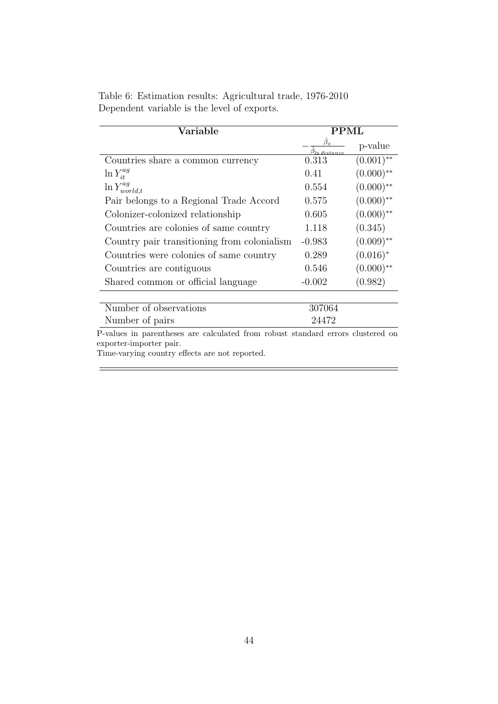| Variable                                                                        | PPML                    |              |
|---------------------------------------------------------------------------------|-------------------------|--------------|
|                                                                                 | $\beta_x$<br>n distance | p-value      |
| Countries share a common currency                                               | 0.313                   | $(0.001)$ ** |
| $\ln Y_{it}^{ag}$                                                               | 0.41                    | $(0.000)$ ** |
| $\ln Y_{world,t}^{ag}$                                                          | 0.554                   | $(0.000)$ ** |
| Pair belongs to a Regional Trade Accord                                         | 0.575                   | $(0.000)$ ** |
| Colonizer-colonized relationship                                                | 0.605                   | $(0.000)$ ** |
| Countries are colonies of same country                                          | 1.118                   | (0.345)      |
| Country pair transitioning from colonialism                                     | $-0.983$                | $(0.009)$ ** |
| Countries were colonies of same country                                         | 0.289                   | $(0.016)^*$  |
| Countries are contiguous                                                        | 0.546                   | $(0.000)$ ** |
| Shared common or official language                                              | $-0.002$                | (0.982)      |
|                                                                                 |                         |              |
| Number of observations                                                          | 307064                  |              |
| Number of pairs                                                                 | 24472                   |              |
| P-values in parentheses are calculated from robust standard errors clustered on |                         |              |

<span id="page-43-0"></span>Table 6: Estimation results: Agricultural trade, 1976-2010 Dependent variable is the level of exports.

Time-varying country effects are not reported.

 $\equiv$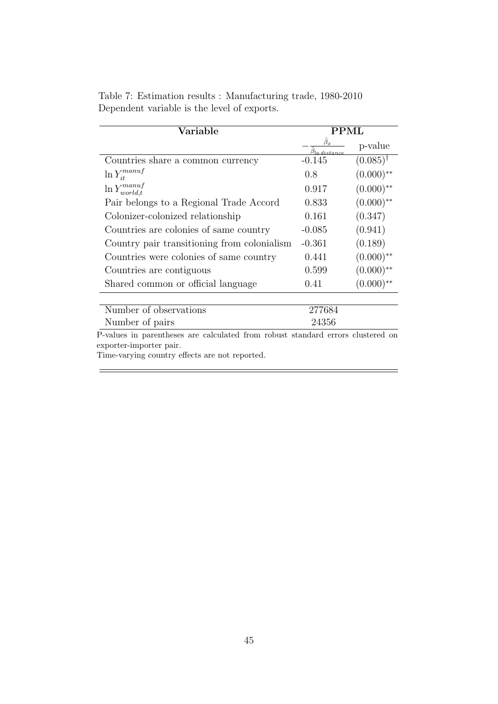| Variable                                                                        | PPML       |                     |
|---------------------------------------------------------------------------------|------------|---------------------|
|                                                                                 | n distance | p-value             |
| Countries share a common currency                                               | $-0.145$   | $(0.085)^{\dagger}$ |
| $\ln Y^{manuf}_{it}$                                                            | 0.8        | $(0.000)$ **        |
| $\ln Y^{manuf}_{world,t}$                                                       | 0.917      | $(0.000)$ **        |
| Pair belongs to a Regional Trade Accord                                         | 0.833      | $(0.000)$ **        |
| Colonizer-colonized relationship                                                | 0.161      | (0.347)             |
| Countries are colonies of same country                                          | $-0.085$   | (0.941)             |
| Country pair transitioning from colonialism                                     | $-0.361$   | (0.189)             |
| Countries were colonies of same country                                         | 0.441      | $(0.000)$ **        |
| Countries are contiguous                                                        | 0.599      | $(0.000)$ **        |
| Shared common or official language                                              | 0.41       | $(0.000)$ **        |
|                                                                                 |            |                     |
| Number of observations                                                          | 277684     |                     |
| Number of pairs                                                                 | 24356      |                     |
| P-values in parentheses are calculated from robust standard errors clustered on |            |                     |

<span id="page-44-0"></span>Table 7: Estimation results : Manufacturing trade, 1980-2010 Dependent variable is the level of exports.

 $\equiv$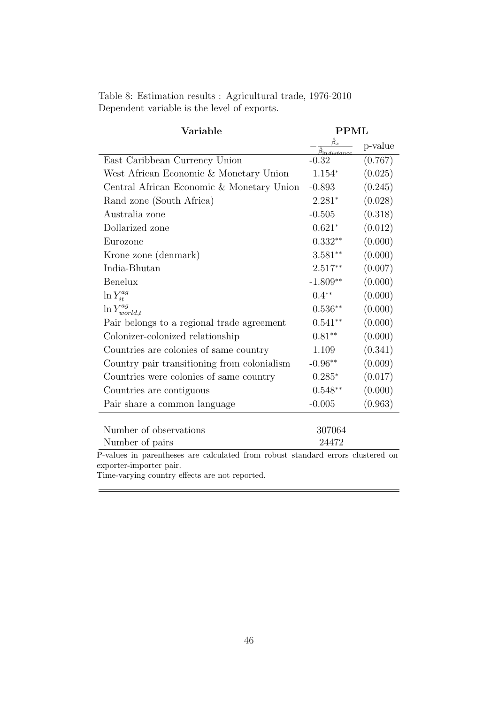| Variable                                    | <b>PPML</b>                                   |         |
|---------------------------------------------|-----------------------------------------------|---------|
|                                             | $\beta_{\underline{x}}$<br>$\beta$ In distanc | p-value |
| East Caribbean Currency Union               | $-0.32$                                       | (0.767) |
| West African Economic & Monetary Union      | $1.154*$                                      | (0.025) |
| Central African Economic & Monetary Union   | $-0.893$                                      | (0.245) |
| Rand zone (South Africa)                    | $2.281*$                                      | (0.028) |
| Australia zone                              | $-0.505$                                      | (0.318) |
| Dollarized zone                             | $0.621*$                                      | (0.012) |
| Eurozone                                    | $0.332**$                                     | (0.000) |
| Krone zone (denmark)                        | $3.581**$                                     | (0.000) |
| India-Bhutan                                | $2.517**$                                     | (0.007) |
| <b>Benelux</b>                              | $-1.809**$                                    | (0.000) |
| $\ln Y_{it}^{ag}$                           | $0.4**$                                       | (0.000) |
| $\ln Y_{world,t}^{ag}$                      | $0.536**$                                     | (0.000) |
| Pair belongs to a regional trade agreement  | $0.541**$                                     | (0.000) |
| Colonizer-colonized relationship            | $0.81**$                                      | (0.000) |
| Countries are colonies of same country      | 1.109                                         | (0.341) |
| Country pair transitioning from colonialism | $-0.96**$                                     | (0.009) |
| Countries were colonies of same country     | $0.285*$                                      | (0.017) |
| Countries are contiguous                    | $0.548**$                                     | (0.000) |
| Pair share a common language                | $-0.005$                                      | (0.963) |
|                                             |                                               |         |
| Number of observations                      | 307064                                        |         |

<span id="page-45-0"></span>Table 8: Estimation results : Agricultural trade, 1976-2010 Dependent variable is the level of exports.

Number of pairs 24472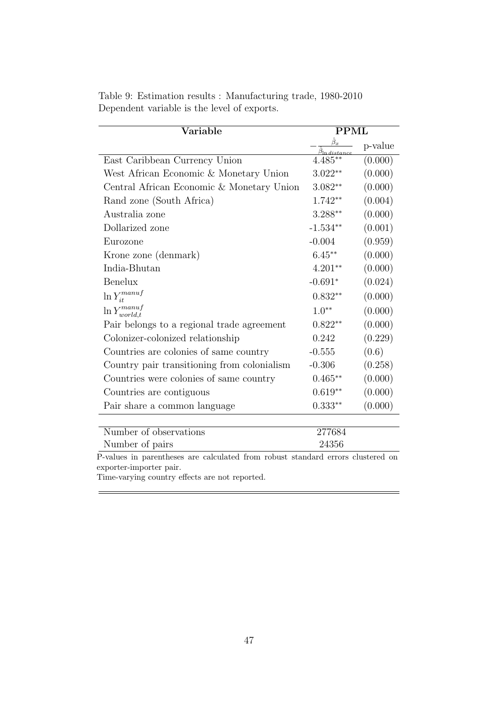| Variable                                    | <b>PPML</b>             |         |
|---------------------------------------------|-------------------------|---------|
|                                             | $\beta_{\underline{x}}$ | p-value |
| East Caribbean Currency Union               | $4.485**$               | (0.000) |
| West African Economic & Monetary Union      | $3.022**$               | (0.000) |
| Central African Economic & Monetary Union   | $3.082**$               | (0.000) |
| Rand zone (South Africa)                    | 1.742**                 | (0.004) |
| Australia zone                              | $3.288**$               | (0.000) |
| Dollarized zone                             | $-1.534**$              | (0.001) |
| Eurozone                                    | $-0.004$                | (0.959) |
| Krone zone (denmark)                        | $6.45**$                | (0.000) |
| India-Bhutan                                | $4.201**$               | (0.000) |
| Benelux                                     | $-0.691*$               | (0.024) |
| $\ln Y^{manuf}_{it}$                        | $0.832**$               | (0.000) |
| $\ln Y^{manuf}_{world.t}$                   | $1.0**$                 | (0.000) |
| Pair belongs to a regional trade agreement  | $0.822**$               | (0.000) |
| Colonizer-colonized relationship            | 0.242                   | (0.229) |
| Countries are colonies of same country      | $-0.555$                | (0.6)   |
| Country pair transitioning from colonialism | $-0.306$                | (0.258) |
| Countries were colonies of same country     | $0.465**$               | (0.000) |
| Countries are contiguous                    | $0.619**$               | (0.000) |
| Pair share a common language                | $0.333**$               | (0.000) |
| Number of observations                      | 277684                  |         |

<span id="page-46-0"></span>Table 9: Estimation results : Manufacturing trade, 1980-2010 Dependent variable is the level of exports.

Number of observations 277684 Number of pairs 24356 P-values in parentheses are calculated from robust standard errors clustered on

exporter-importer pair.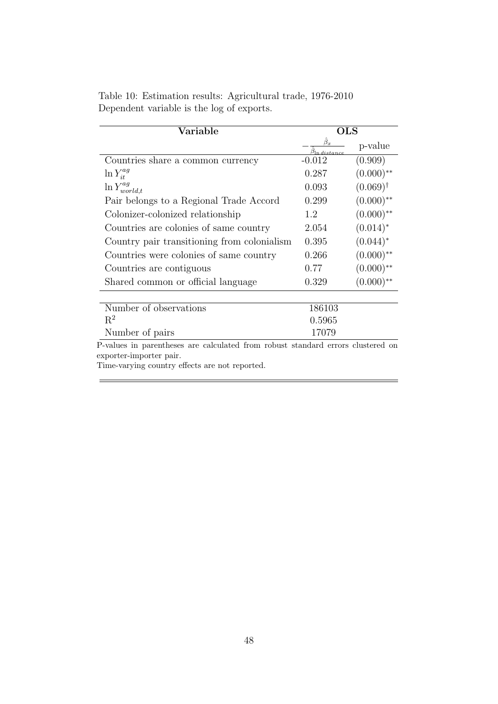| Variable                                                                                                   | <b>OLS</b>                             |                     |
|------------------------------------------------------------------------------------------------------------|----------------------------------------|---------------------|
|                                                                                                            | $\hat{\beta}_x$<br>$\beta$ ln distance | p-value             |
| Countries share a common currency                                                                          | $-0.012$                               | (0.909)             |
| $\ln Y_{it}^{ag}$                                                                                          | 0.287                                  | $(0.000)$ **        |
| $\ln Y_{world,t}^{ag}$                                                                                     | 0.093                                  | $(0.069)^{\dagger}$ |
| Pair belongs to a Regional Trade Accord                                                                    | 0.299                                  | $(0.000)$ **        |
| Colonizer-colonized relationship                                                                           | 1.2                                    | $(0.000)$ **        |
| Countries are colonies of same country                                                                     | 2.054                                  | $(0.014)^*$         |
| Country pair transitioning from colonialism                                                                | 0.395                                  | $(0.044)^*$         |
| Countries were colonies of same country                                                                    | 0.266                                  | $(0.000)$ **        |
| Countries are contiguous                                                                                   | 0.77                                   | $(0.000)$ **        |
| Shared common or official language                                                                         | 0.329                                  | $(0.000)$ **        |
|                                                                                                            |                                        |                     |
| Number of observations<br>$R^2$                                                                            | 186103                                 |                     |
|                                                                                                            | 0.5965                                 |                     |
| Number of pairs                                                                                            | 17079                                  |                     |
| P-values in parentheses are calculated from robust standard errors clustered on<br>exporter-importer pair. |                                        |                     |
| Time-varying country effects are not reported.                                                             |                                        |                     |

 $=$ 

<span id="page-47-0"></span>Table 10: Estimation results: Agricultural trade, 1976-2010 Dependent variable is the log of exports.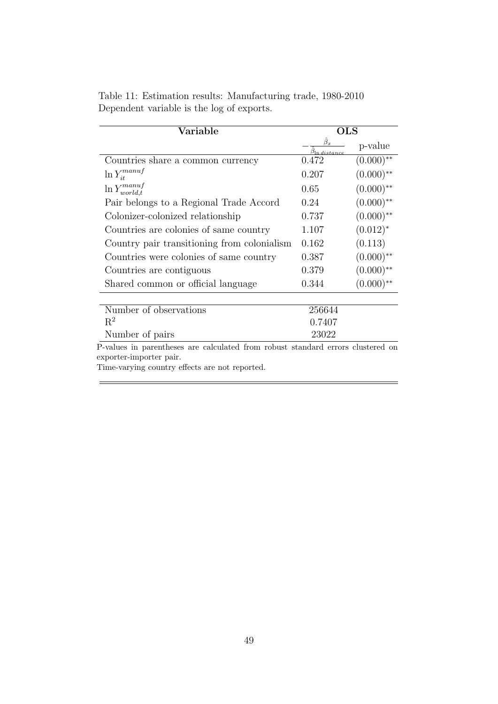| Variable                                                                                                   | $_{\rm OLS}$                  |                         |
|------------------------------------------------------------------------------------------------------------|-------------------------------|-------------------------|
|                                                                                                            | $\hat{\beta}_x$<br>n distance | p-value                 |
| Countries share a common currency                                                                          | 0.472                         | $(0.000)$ **            |
| $\ln Y^{manuf}_{it}$                                                                                       | 0.207                         | $(0.000)$ **            |
| $\ln Y^{manuf}_{world,t}$                                                                                  | 0.65                          | $(0.000)$ **            |
| Pair belongs to a Regional Trade Accord                                                                    | 0.24                          | $(0.000)$ **            |
| Colonizer-colonized relationship                                                                           | 0.737                         | $(0.000)$ **            |
| Countries are colonies of same country                                                                     | 1.107                         | $(0.012)^*$             |
| Country pair transitioning from colonialism                                                                | 0.162                         | (0.113)                 |
| Countries were colonies of same country                                                                    | 0.387                         | $(0.000)$ **            |
| Countries are contiguous                                                                                   | 0.379                         | $(0.000)$ **            |
| Shared common or official language                                                                         | 0.344                         | $(0.000)$ <sup>**</sup> |
|                                                                                                            |                               |                         |
| Number of observations                                                                                     | 256644                        |                         |
| $R^2$                                                                                                      | 0.7407                        |                         |
| Number of pairs                                                                                            | 23022                         |                         |
| P-values in parentheses are calculated from robust standard errors clustered on<br>exporter-importer pair. |                               |                         |

<span id="page-48-0"></span>Table 11: Estimation results: Manufacturing trade, 1980-2010 Dependent variable is the log of exports.

Time-varying country effects are not reported.

Ë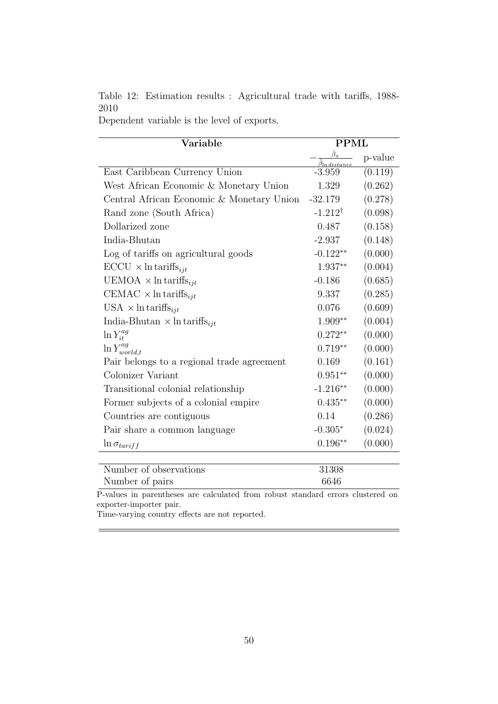<span id="page-49-0"></span>Table 12: Estimation results : Agricultural trade with tariffs, 1988- 2010

Dependent variable is the level of exports.

| Variable                                           | <b>PPML</b>        |         |
|----------------------------------------------------|--------------------|---------|
|                                                    |                    | p-value |
| East Caribbean Currency Union                      | $-3.959$           | (0.119) |
| West African Economic & Monetary Union             | 1.329              | (0.262) |
| Central African Economic & Monetary Union          | $-32.179$          | (0.278) |
| Rand zone (South Africa)                           | $-1.212^{\dagger}$ | (0.098) |
| Dollarized zone                                    | 0.487              | (0.158) |
| India-Bhutan                                       | $-2.937$           | (0.148) |
| Log of tariffs on agricultural goods               | $-0.122**$         | (0.000) |
| $\text{ECCU} \times \text{ln}\text{tariffs}_{ijt}$ | 1.937**            | (0.004) |
| UEMOA $\times$ ln tariffs <sub>ijt</sub>           | $-0.186$           | (0.685) |
| CEMAC $\times$ ln tariffs <sub>ijt</sub>           | 9.337              | (0.285) |
| USA $\times$ ln tariffs <sub>ijt</sub>             | 0.076              | (0.609) |
| India-Bhutan $\times$ ln tariffs <sub>iit</sub>    | $1.909**$          | (0.004) |
| $\ln Y_{it}^{ag}$                                  | $0.272**$          | (0.000) |
| $\ln Y_{world,t}^{ag}$                             | $0.719**$          | (0.000) |
| Pair belongs to a regional trade agreement         | 0.169              | (0.161) |
| Colonizer Variant                                  | $0.951**$          | (0.000) |
| Transitional colonial relationship                 | $-1.216**$         | (0.000) |
| Former subjects of a colonial empire               | $0.435**$          | (0.000) |
| Countries are contiguous                           | 0.14               | (0.286) |
| Pair share a common language                       | $-0.305*$          | (0.024) |
| $\ln \sigma_{tariff}$                              | $0.196**$          | (0.000) |
| Number of observations                             | 31308              |         |

Number of pairs 6646 P-values in parentheses are calculated from robust standard errors clustered on exporter-importer pair.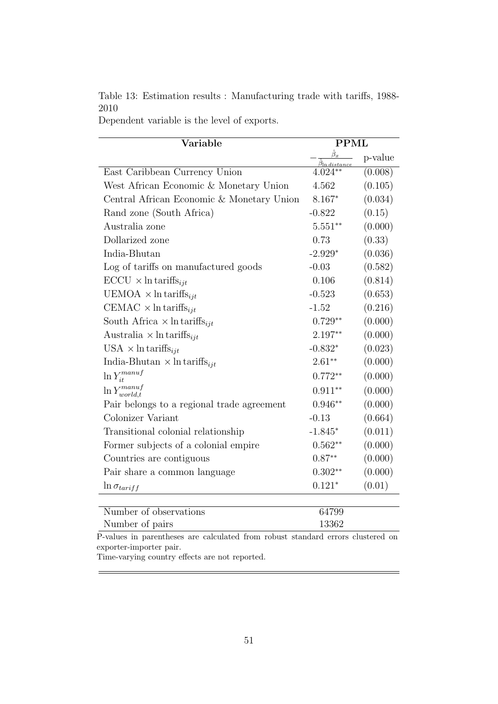<span id="page-50-0"></span>Table 13: Estimation results : Manufacturing trade with tariffs, 1988- 2010

Dependent variable is the level of exports.

| Variable                                        | <b>PPML</b> |         |
|-------------------------------------------------|-------------|---------|
|                                                 |             | p-value |
| East Caribbean Currency Union                   | $4.024**$   | (0.008) |
| West African Economic & Monetary Union          | 4.562       | (0.105) |
| Central African Economic & Monetary Union       | $8.167*$    | (0.034) |
| Rand zone (South Africa)                        | $-0.822$    | (0.15)  |
| Australia zone                                  | $5.551**$   | (0.000) |
| Dollarized zone                                 | 0.73        | (0.33)  |
| India-Bhutan                                    | $-2.929*$   | (0.036) |
| Log of tariffs on manufactured goods            | $-0.03$     | (0.582) |
| $\text{ECCU} \times \ln \text{tariffs}_{iit}$   | 0.106       | (0.814) |
| UEMOA $\times$ ln tariffs <sub>ijt</sub>        | $-0.523$    | (0.653) |
| CEMAC $\times$ ln tariffs <sub>iit</sub>        | $-1.52$     | (0.216) |
| South Africa $\times$ ln tariffs <sub>iit</sub> | $0.729**$   | (0.000) |
| Australia $\times$ ln tariffs <sub>ijt</sub>    | 2.197**     | (0.000) |
| USA $\times$ ln tariffs <sub>iit</sub>          | $-0.832*$   | (0.023) |
| India-Bhutan $\times$ ln tariffs <sub>iit</sub> | $2.61**$    | (0.000) |
| $\ln Y^{manuf}_{it}$                            | $0.772**$   | (0.000) |
| $\ln Y^{manuf}_{world,t}$                       | $0.911**$   | (0.000) |
| Pair belongs to a regional trade agreement      | $0.946**$   | (0.000) |
| Colonizer Variant                               | $-0.13$     | (0.664) |
| Transitional colonial relationship              | $-1.845*$   | (0.011) |
| Former subjects of a colonial empire            | $0.562**$   | (0.000) |
| Countries are contiguous                        | $0.87**$    | (0.000) |
| Pair share a common language                    | $0.302**$   | (0.000) |
| $\ln \sigma_{tariff}$                           | $0.121*$    | (0.01)  |
|                                                 |             |         |

| ___                    |       |
|------------------------|-------|
| Number of pairs        | 13362 |
| Number of observations | 64799 |

P-values in parentheses are calculated from robust standard errors clustered on exporter-importer pair.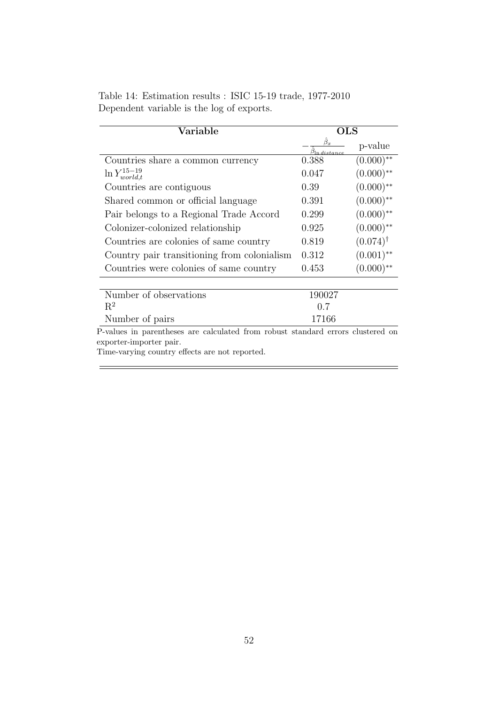<span id="page-51-0"></span>

| Table 14: Estimation results : ISIC 15-19 trade, 1977-2010 |  |  |  |
|------------------------------------------------------------|--|--|--|
| Dependent variable is the log of exports.                  |  |  |  |

| Variable                                                                                                   | <b>OLS</b>                    |                     |
|------------------------------------------------------------------------------------------------------------|-------------------------------|---------------------|
|                                                                                                            | $\hat{\beta}_x$<br>n distance | p-value             |
| Countries share a common currency                                                                          | 0.388                         | $(0.000)$ **        |
| $\ln Y_{world,t}^{15-19}$                                                                                  | 0.047                         | $(0.000)$ **        |
| Countries are contiguous                                                                                   | 0.39                          | $(0.000)$ **        |
| Shared common or official language                                                                         | 0.391                         | $(0.000)$ **        |
| Pair belongs to a Regional Trade Accord                                                                    | 0.299                         | $(0.000)$ **        |
| Colonizer-colonized relationship                                                                           | 0.925                         | $(0.000)$ **        |
| Countries are colonies of same country                                                                     | 0.819                         | $(0.074)^{\dagger}$ |
| Country pair transitioning from colonialism                                                                | 0.312                         | $(0.001)$ **        |
| Countries were colonies of same country                                                                    | 0.453                         | $(0.000)$ **        |
| Number of observations                                                                                     | 190027                        |                     |
| $R^2$                                                                                                      | 0.7                           |                     |
| Number of pairs                                                                                            | 17166                         |                     |
| P-values in parentheses are calculated from robust standard errors clustered on<br>exporter-importer pair. |                               |                     |

Time-varying country effects are not reported.

Ė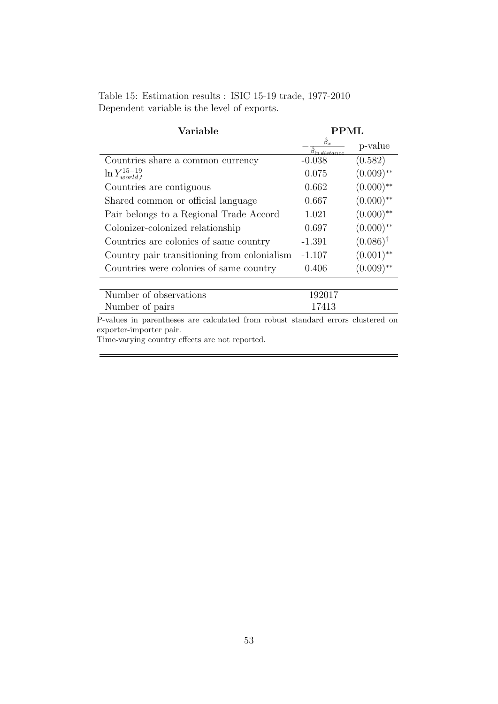|  |                                             |  |  | Table 15: Estimation results : ISIC 15-19 trade, 1977-2010 |
|--|---------------------------------------------|--|--|------------------------------------------------------------|
|  | Dependent variable is the level of exports. |  |  |                                                            |

| Variable                                                                                                   | PPML       |                     |  |
|------------------------------------------------------------------------------------------------------------|------------|---------------------|--|
|                                                                                                            | n distance | p-value             |  |
| Countries share a common currency                                                                          | $-0.038$   | (0.582)             |  |
| $\ln Y_{world,t}^{15-19}$                                                                                  | 0.075      | $(0.009)$ **        |  |
| Countries are contiguous                                                                                   | 0.662      | $(0.000)$ **        |  |
| Shared common or official language                                                                         | 0.667      | $(0.000)$ **        |  |
| Pair belongs to a Regional Trade Accord                                                                    | 1.021      | $(0.000)$ **        |  |
| Colonizer-colonized relationship                                                                           | 0.697      | $(0.000)$ **        |  |
| Countries are colonies of same country                                                                     | $-1.391$   | $(0.086)^{\dagger}$ |  |
| Country pair transitioning from colonialism                                                                | $-1.107$   | $(0.001)$ **        |  |
| Countries were colonies of same country                                                                    | 0.406      | $(0.009)$ **        |  |
| Number of observations                                                                                     | 192017     |                     |  |
| Number of pairs                                                                                            | 17413      |                     |  |
| P-values in parentheses are calculated from robust standard errors clustered on<br>exporter-importer pair. |            |                     |  |

 $=$ 

Time-varying country effects are not reported.

 $\frac{1}{1}$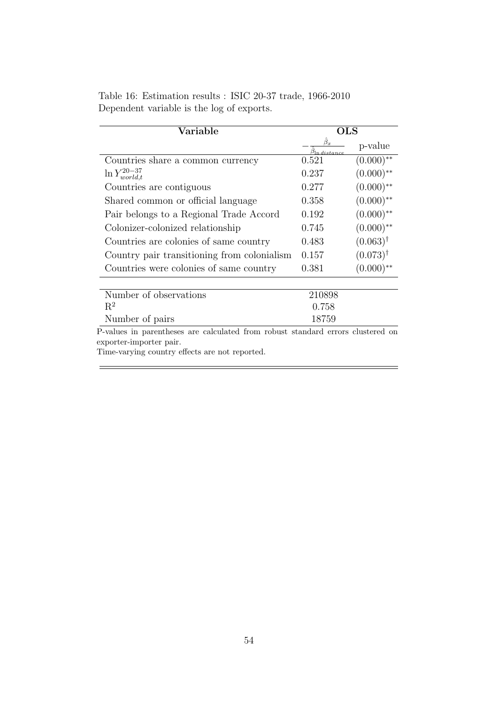|  |                                           | Table 16: Estimation results : ISIC 20-37 trade, 1966-2010 |  |
|--|-------------------------------------------|------------------------------------------------------------|--|
|  | Dependent variable is the log of exports. |                                                            |  |

| Variable                                                                                                   | OLS                              |                     |  |
|------------------------------------------------------------------------------------------------------------|----------------------------------|---------------------|--|
|                                                                                                            | $\beta_x$<br>$\beta$ ln distance | p-value             |  |
| Countries share a common currency                                                                          | 0.521                            | $(0.000)$ **        |  |
| $\ln Y_{world,t}^{20-37}$                                                                                  | 0.237                            | $(0.000)$ **        |  |
| Countries are contiguous                                                                                   | 0.277                            | $(0.000)$ **        |  |
| Shared common or official language                                                                         | 0.358                            | $(0.000)$ **        |  |
| Pair belongs to a Regional Trade Accord                                                                    | 0.192                            | $(0.000)$ **        |  |
| Colonizer-colonized relationship                                                                           | 0.745                            | $(0.000)$ **        |  |
| Countries are colonies of same country                                                                     | 0.483                            | $(0.063)^{\dagger}$ |  |
| Country pair transitioning from colonialism                                                                | 0.157                            | $(0.073)^{\dagger}$ |  |
| Countries were colonies of same country                                                                    | 0.381                            | $(0.000)$ **        |  |
|                                                                                                            |                                  |                     |  |
| Number of observations                                                                                     | 210898                           |                     |  |
| $R^2$                                                                                                      | 0.758                            |                     |  |
| Number of pairs                                                                                            | 18759                            |                     |  |
| P-values in parentheses are calculated from robust standard errors clustered on<br>exporter-importer pair. |                                  |                     |  |

Time-varying country effects are not reported.

 $\equiv$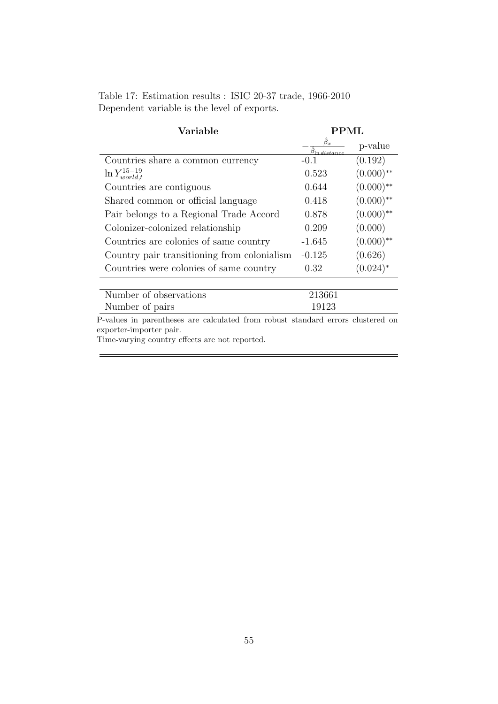|  |                                             |  |  | Table 17: Estimation results : ISIC 20-37 trade, 1966-2010 |
|--|---------------------------------------------|--|--|------------------------------------------------------------|
|  | Dependent variable is the level of exports. |  |  |                                                            |

| Variable                                                                                                   | PPML                     |               |  |
|------------------------------------------------------------------------------------------------------------|--------------------------|---------------|--|
|                                                                                                            | $\beta_x$<br>ln distance | p-value       |  |
| Countries share a common currency                                                                          | $-()$ 1                  | (0.192)       |  |
| $\ln Y_{world,t}^{15-19}$                                                                                  | 0.523                    | $(0.000)$ **  |  |
| Countries are contiguous                                                                                   | 0.644                    | $(0.000)$ **  |  |
| Shared common or official language                                                                         | 0.418                    | $(0.000)$ **  |  |
| Pair belongs to a Regional Trade Accord                                                                    | 0.878                    | $(0.000)$ **  |  |
| Colonizer-colonized relationship                                                                           | 0.209                    | (0.000)       |  |
| Countries are colonies of same country                                                                     | $-1.645$                 | $(0.000)$ **  |  |
| Country pair transitioning from colonialism                                                                | $-0.125$                 | (0.626)       |  |
| Countries were colonies of same country                                                                    | 0.32                     | $(0.024)^{*}$ |  |
| Number of observations                                                                                     | 213661                   |               |  |
| Number of pairs                                                                                            | 19123                    |               |  |
| P-values in parentheses are calculated from robust standard errors clustered on<br>exporter-importer pair. |                          |               |  |

 $=$ 

Time-varying country effects are not reported.

 $\equiv$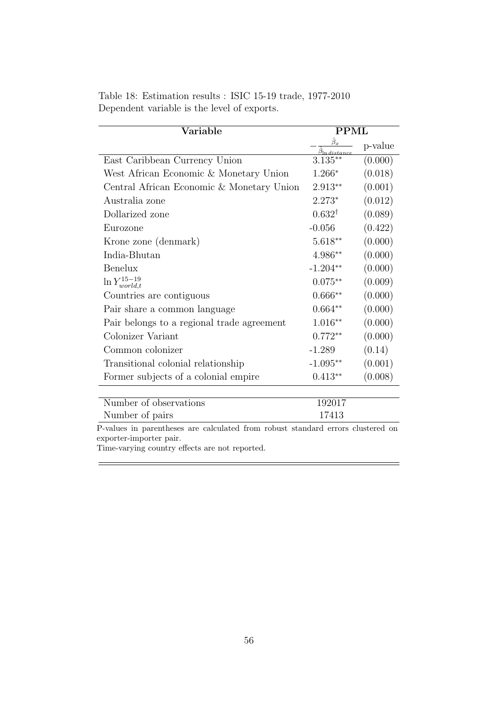<span id="page-55-0"></span>

|                                             |  | Table 18: Estimation results : ISIC 15-19 trade, 1977-2010 |
|---------------------------------------------|--|------------------------------------------------------------|
| Dependent variable is the level of exports. |  |                                                            |

| Variable                                   | $\rm PPML$                     |         |
|--------------------------------------------|--------------------------------|---------|
|                                            | $\mathfrak{I}_{\ln{distance}}$ | p-value |
| East Caribbean Currency Union              | $3.135**$                      | (0.000) |
| West African Economic & Monetary Union     | $1.266*$                       | (0.018) |
| Central African Economic & Monetary Union  | $2.913**$                      | (0.001) |
| Australia zone                             | $2.273*$                       | (0.012) |
| Dollarized zone                            | $0.632^{\dagger}$              | (0.089) |
| Eurozone                                   | $-0.056$                       | (0.422) |
| Krone zone (denmark)                       | $5.618**$                      | (0.000) |
| India-Bhutan                               | 4.986**                        | (0.000) |
| Benelux                                    | $-1.204**$                     | (0.000) |
| $\ln Y_{world,t}^{15-19}$                  | $0.075**$                      | (0.009) |
| Countries are contiguous                   | $0.666**$                      | (0.000) |
| Pair share a common language               | $0.664**$                      | (0.000) |
| Pair belongs to a regional trade agreement | $1.016**$                      | (0.000) |
| Colonizer Variant                          | $0.772**$                      | (0.000) |
| Common colonizer                           | $-1.289$                       | (0.14)  |
| Transitional colonial relationship         | $-1.095**$                     | (0.001) |
| Former subjects of a colonial empire       | $0.413**$                      | (0.008) |
| $\mathbf{r}$                               | $\overline{\phantom{a}}$       |         |

| Number of observations | 192017 |
|------------------------|--------|
| Number of pairs        | 17413  |
|                        |        |

 $=$ 

Time-varying country effects are not reported.

 $\frac{1}{2}$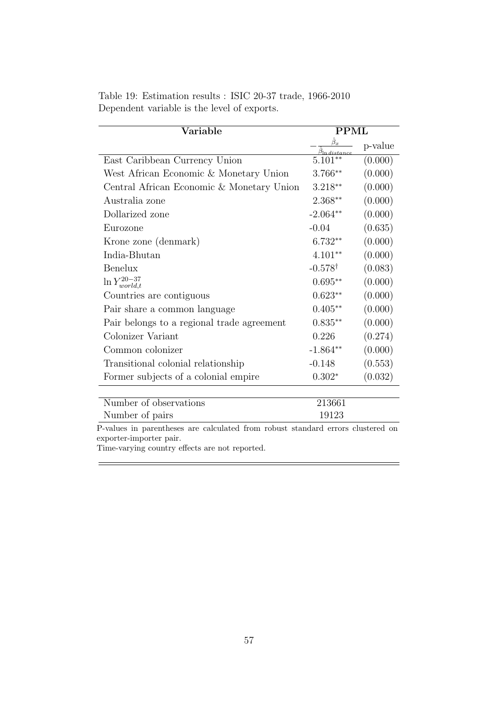<span id="page-56-0"></span>

| Table 19: Estimation results : ISIC 20-37 trade, 1966-2010 |  |  |
|------------------------------------------------------------|--|--|
| Dependent variable is the level of exports.                |  |  |

| Variable                                   | <b>PPML</b>                     |         |
|--------------------------------------------|---------------------------------|---------|
|                                            | $\beta_{\ln \textit{distance}}$ | p-value |
| East Caribbean Currency Union              | $5.101**$                       | (0.000) |
| West African Economic & Monetary Union     | 3.766**                         | (0.000) |
| Central African Economic & Monetary Union  | $3.218**$                       | (0.000) |
| Australia zone                             | $2.368**$                       | (0.000) |
| Dollarized zone                            | $-2.064**$                      | (0.000) |
| Eurozone                                   | $-0.04$                         | (0.635) |
| Krone zone (denmark)                       | $6.732**$                       | (0.000) |
| India-Bhutan                               | $4.101**$                       | (0.000) |
| <b>Benelux</b>                             | $-0.578^{\dagger}$              | (0.083) |
| $\ln Y_{world,t}^{20-37}$                  | $0.695**$                       | (0.000) |
| Countries are contiguous                   | $0.623**$                       | (0.000) |
| Pair share a common language               | $0.405**$                       | (0.000) |
| Pair belongs to a regional trade agreement | $0.835**$                       | (0.000) |
| Colonizer Variant                          | 0.226                           | (0.274) |
| Common colonizer                           | $-1.864**$                      | (0.000) |
| Transitional colonial relationship         | $-0.148$                        | (0.553) |
| Former subjects of a colonial empire       | $0.302*$                        | (0.032) |
|                                            |                                 |         |

| Number of observations | 213661 |
|------------------------|--------|
| Number of pairs        | 19123  |
|                        |        |

 $=$ 

Time-varying country effects are not reported.

 $\equiv$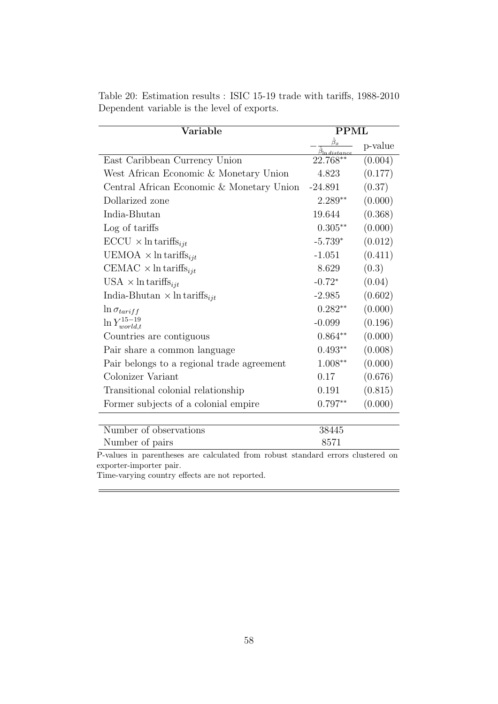| Variable                                           | <b>PPML</b> |         |
|----------------------------------------------------|-------------|---------|
|                                                    |             | p-value |
| East Caribbean Currency Union                      | 22.768**    | (0.004) |
| West African Economic & Monetary Union             | 4.823       | (0.177) |
| Central African Economic & Monetary Union          | $-24.891$   | (0.37)  |
| Dollarized zone                                    | $2.289**$   | (0.000) |
| India-Bhutan                                       | 19.644      | (0.368) |
| Log of tariffs                                     | $0.305**$   | (0.000) |
| $\text{ECCU} \times \text{ln}\text{tariffs}_{ijt}$ | $-5.739*$   | (0.012) |
| UEMOA $\times$ ln tariffs <sub>ijt</sub>           | $-1.051$    | (0.411) |
| CEMAC $\times$ ln tariffs <sub>ijt</sub>           | 8.629       | (0.3)   |
| USA $\times$ ln tariffs <sub>ijt</sub>             | $-0.72*$    | (0.04)  |
| India-Bhutan $\times$ ln tariffs <sub>ijt</sub>    | $-2.985$    | (0.602) |
| $\ln \sigma_{tariff}$                              | $0.282**$   | (0.000) |
| $\ln Y_{world,t}^{15-19}$                          | $-0.099$    | (0.196) |
| Countries are contiguous                           | $0.864**$   | (0.000) |
| Pair share a common language                       | $0.493**$   | (0.008) |
| Pair belongs to a regional trade agreement         | $1.008**$   | (0.000) |
| Colonizer Variant                                  | 0.17        | (0.676) |
| Transitional colonial relationship                 | 0.191       | (0.815) |
| Former subjects of a colonial empire               | $0.797**$   | (0.000) |
|                                                    |             |         |
| Number of observations                             | 38445       |         |
| Number of pairs                                    | 8571        |         |

<span id="page-57-0"></span>Table 20: Estimation results : ISIC 15-19 trade with tariffs, 1988-2010 Dependent variable is the level of exports.

P-values in parentheses are calculated from robust standard errors clustered on exporter-importer pair.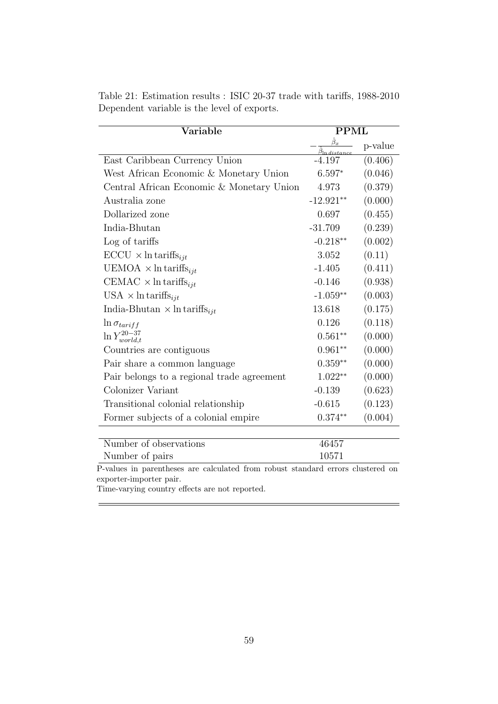| Variable                                                                                                   | <b>PPML</b>     |         |
|------------------------------------------------------------------------------------------------------------|-----------------|---------|
|                                                                                                            | $\hat{\beta}_x$ | p-value |
| East Caribbean Currency Union                                                                              | -4.197          | (0.406) |
| West African Economic & Monetary Union                                                                     | $6.597*$        | (0.046) |
| Central African Economic & Monetary Union                                                                  | 4.973           | (0.379) |
| Australia zone                                                                                             | $-12.921**$     | (0.000) |
| Dollarized zone                                                                                            | 0.697           | (0.455) |
| India-Bhutan                                                                                               | $-31.709$       | (0.239) |
| Log of tariffs                                                                                             | $-0.218**$      | (0.002) |
| $\text{ECCU} \times \ln \text{tariffs}_{ijt}$                                                              | 3.052           | (0.11)  |
| UEMOA $\times$ ln tariffs <sub>ijt</sub>                                                                   | $-1.405$        | (0.411) |
| CEMAC $\times$ ln tariffs <sub>ijt</sub>                                                                   | $-0.146$        | (0.938) |
| USA $\times$ ln tariffs <sub>ijt</sub>                                                                     | $-1.059**$      | (0.003) |
| India-Bhutan $\times$ ln tariffs <sub>iit</sub>                                                            | 13.618          | (0.175) |
| $\ln \sigma_{tariff}$                                                                                      | 0.126           | (0.118) |
| $\ln Y_{world,t}^{20-37}$                                                                                  | $0.561**$       | (0.000) |
| Countries are contiguous                                                                                   | $0.961**$       | (0.000) |
| Pair share a common language                                                                               | $0.359**$       | (0.000) |
| Pair belongs to a regional trade agreement                                                                 | $1.022**$       | (0.000) |
| Colonizer Variant                                                                                          | $-0.139$        | (0.623) |
| Transitional colonial relationship                                                                         | $-0.615$        | (0.123) |
| Former subjects of a colonial empire                                                                       | $0.374**$       | (0.004) |
| Number of observations                                                                                     | 46457           |         |
| Number of pairs                                                                                            | 10571           |         |
| P-values in parentheses are calculated from robust standard errors clustered on<br>exporter-importer pair. |                 |         |

<span id="page-58-0"></span>Table 21: Estimation results : ISIC 20-37 trade with tariffs, 1988-2010 Dependent variable is the level of exports.

exporter-importer pair.

 $=$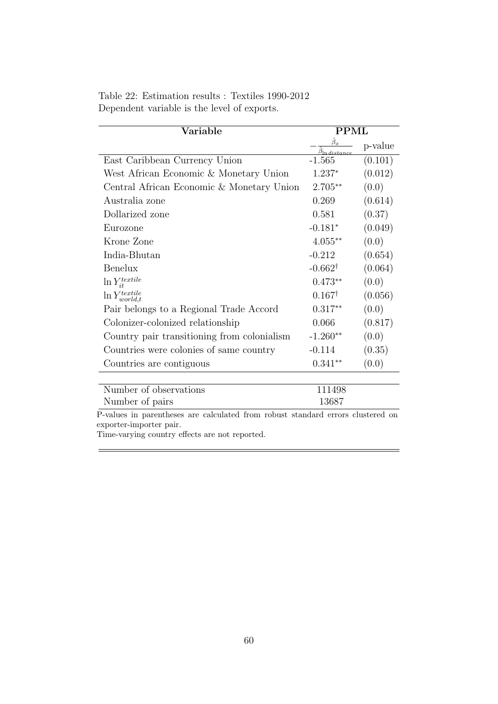<span id="page-59-0"></span>

| Table 22: Estimation results : Textiles 1990-2012 |  |  |
|---------------------------------------------------|--|--|
| Dependent variable is the level of exports.       |  |  |

| Variable                                    | <b>PPML</b>                                   |         |
|---------------------------------------------|-----------------------------------------------|---------|
|                                             | $\hat{\beta}_x$<br>$\beta$ ln <u>distance</u> | p-value |
| East Caribbean Currency Union               | $-1.565$                                      | (0.101) |
| West African Economic & Monetary Union      | $1.237^{*}$                                   | (0.012) |
| Central African Economic & Monetary Union   | $2.705**$                                     | (0.0)   |
| Australia zone                              | 0.269                                         | (0.614) |
| Dollarized zone                             | 0.581                                         | (0.37)  |
| Eurozone                                    | $-0.181*$                                     | (0.049) |
| Krone Zone                                  | $4.055***$                                    | (0.0)   |
| India-Bhutan                                | $-0.212$                                      | (0.654) |
| Benelux                                     | $-0.662^{\dagger}$                            | (0.064) |
| $\ln Y_{it}^{textile}$                      | $0.473**$                                     | (0.0)   |
| $\ln Y^{textile}_{world.t}$                 | $0.167^{\dagger}$                             | (0.056) |
| Pair belongs to a Regional Trade Accord     | $0.317**$                                     | (0.0)   |
| Colonizer-colonized relationship            | 0.066                                         | (0.817) |
| Country pair transitioning from colonialism | $-1.260**$                                    | (0.0)   |
| Countries were colonies of same country     | $-0.114$                                      | (0.35)  |
| Countries are contiguous                    | $0.341**$                                     | (0.0)   |
|                                             |                                               |         |

| Number of observations | 111498 |
|------------------------|--------|
| Number of pairs        | 13687  |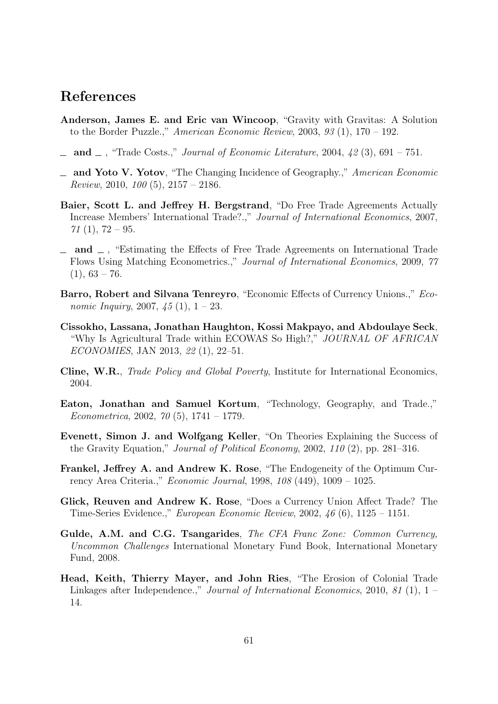## References

- <span id="page-60-12"></span>Anderson, James E. and Eric van Wincoop, "Gravity with Gravitas: A Solution to the Border Puzzle.," American Economic Review, 2003,  $93(1)$ ,  $170-192$ .
- <span id="page-60-7"></span> $\Delta$  and  $\Delta$ , "Trade Costs.," *Journal of Economic Literature*, 2004, 42(3), 691 – 751.
- <span id="page-60-1"></span>and Yoto V. Yotov, "The Changing Incidence of Geography.," American Economic *Review*, 2010,  $100(5)$ ,  $2157 - 2186$ .
- <span id="page-60-3"></span>Baier, Scott L. and Jeffrey H. Bergstrand, "Do Free Trade Agreements Actually Increase Members' International Trade?.," Journal of International Economics, 2007,  $71(1), 72-95.$
- <span id="page-60-4"></span> $\Box$  and  $\Box$ , "Estimating the Effects of Free Trade Agreements on International Trade Flows Using Matching Econometrics.," Journal of International Economics, 2009, 77  $(1), 63 - 76.$
- <span id="page-60-9"></span>Barro, Robert and Silvana Tenreyro, "Economic Effects of Currency Unions.," Economic Inquiry, 2007,  $45(1)$ ,  $1 - 23$ .
- <span id="page-60-10"></span>Cissokho, Lassana, Jonathan Haughton, Kossi Makpayo, and Abdoulaye Seck, "Why Is Agricultural Trade within ECOWAS So High?," JOURNAL OF AFRICAN ECONOMIES, JAN 2013, 22 (1), 22–51.
- <span id="page-60-8"></span>Cline, W.R., Trade Policy and Global Poverty, Institute for International Economics, 2004.
- <span id="page-60-11"></span>Eaton, Jonathan and Samuel Kortum, "Technology, Geography, and Trade.," Econometrica, 2002, 70 (5), 1741 – 1779.
- <span id="page-60-0"></span>Evenett, Simon J. and Wolfgang Keller, "On Theories Explaining the Success of the Gravity Equation," Journal of Political Economy, 2002, 110 (2), pp. 281–316.
- <span id="page-60-6"></span>Frankel, Jeffrey A. and Andrew K. Rose, "The Endogeneity of the Optimum Currency Area Criteria.," Economic Journal, 1998, 108 (449), 1009 – 1025.
- <span id="page-60-2"></span>Glick, Reuven and Andrew K. Rose, "Does a Currency Union Affect Trade? The Time-Series Evidence.," European Economic Review, 2002, 46 (6), 1125 – 1151.
- <span id="page-60-13"></span>Gulde, A.M. and C.G. Tsangarides, The CFA Franc Zone: Common Currency, Uncommon Challenges International Monetary Fund Book, International Monetary Fund, 2008.
- <span id="page-60-5"></span>Head, Keith, Thierry Mayer, and John Ries, "The Erosion of Colonial Trade Linkages after Independence.," Journal of International Economics, 2010, 81 (1), 1 – 14.